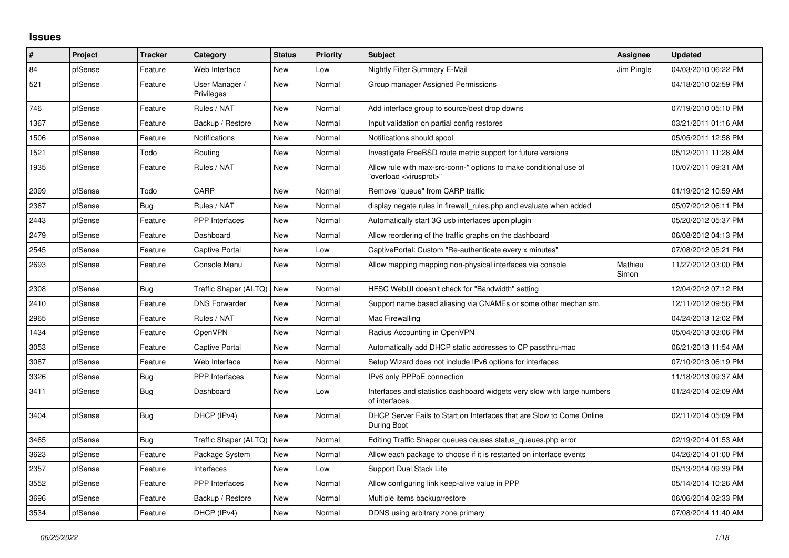## **Issues**

| ∦    | Project | <b>Tracker</b> | Category                     | <b>Status</b> | <b>Priority</b> | <b>Subject</b>                                                                                          | Assignee         | <b>Updated</b>      |
|------|---------|----------------|------------------------------|---------------|-----------------|---------------------------------------------------------------------------------------------------------|------------------|---------------------|
| 84   | pfSense | Feature        | Web Interface                | <b>New</b>    | Low             | Nightly Filter Summary E-Mail                                                                           | Jim Pingle       | 04/03/2010 06:22 PM |
| 521  | pfSense | Feature        | User Manager /<br>Privileges | <b>New</b>    | Normal          | Group manager Assigned Permissions                                                                      |                  | 04/18/2010 02:59 PM |
| 746  | pfSense | Feature        | Rules / NAT                  | <b>New</b>    | Normal          | Add interface group to source/dest drop downs                                                           |                  | 07/19/2010 05:10 PM |
| 1367 | pfSense | Feature        | Backup / Restore             | New           | Normal          | Input validation on partial config restores                                                             |                  | 03/21/2011 01:16 AM |
| 1506 | pfSense | Feature        | Notifications                | <b>New</b>    | Normal          | Notifications should spool                                                                              |                  | 05/05/2011 12:58 PM |
| 1521 | pfSense | Todo           | Routing                      | New           | Normal          | Investigate FreeBSD route metric support for future versions                                            |                  | 05/12/2011 11:28 AM |
| 1935 | pfSense | Feature        | Rules / NAT                  | <b>New</b>    | Normal          | Allow rule with max-src-conn-* options to make conditional use of<br>"overload <virusprot>"</virusprot> |                  | 10/07/2011 09:31 AM |
| 2099 | pfSense | Todo           | CARP                         | <b>New</b>    | Normal          | Remove "queue" from CARP traffic                                                                        |                  | 01/19/2012 10:59 AM |
| 2367 | pfSense | Bug            | Rules / NAT                  | New           | Normal          | display negate rules in firewall_rules.php and evaluate when added                                      |                  | 05/07/2012 06:11 PM |
| 2443 | pfSense | Feature        | <b>PPP</b> Interfaces        | <b>New</b>    | Normal          | Automatically start 3G usb interfaces upon plugin                                                       |                  | 05/20/2012 05:37 PM |
| 2479 | pfSense | Feature        | Dashboard                    | <b>New</b>    | Normal          | Allow reordering of the traffic graphs on the dashboard                                                 |                  | 06/08/2012 04:13 PM |
| 2545 | pfSense | Feature        | Captive Portal               | <b>New</b>    | Low             | CaptivePortal: Custom "Re-authenticate every x minutes"                                                 |                  | 07/08/2012 05:21 PM |
| 2693 | pfSense | Feature        | Console Menu                 | New           | Normal          | Allow mapping mapping non-physical interfaces via console                                               | Mathieu<br>Simon | 11/27/2012 03:00 PM |
| 2308 | pfSense | Bug            | Traffic Shaper (ALTQ)        | New           | Normal          | HFSC WebUI doesn't check for "Bandwidth" setting                                                        |                  | 12/04/2012 07:12 PM |
| 2410 | pfSense | Feature        | <b>DNS Forwarder</b>         | <b>New</b>    | Normal          | Support name based aliasing via CNAMEs or some other mechanism.                                         |                  | 12/11/2012 09:56 PM |
| 2965 | pfSense | Feature        | Rules / NAT                  | New           | Normal          | Mac Firewalling                                                                                         |                  | 04/24/2013 12:02 PM |
| 1434 | pfSense | Feature        | OpenVPN                      | <b>New</b>    | Normal          | Radius Accounting in OpenVPN                                                                            |                  | 05/04/2013 03:06 PM |
| 3053 | pfSense | Feature        | Captive Portal               | <b>New</b>    | Normal          | Automatically add DHCP static addresses to CP passthru-mac                                              |                  | 06/21/2013 11:54 AM |
| 3087 | pfSense | Feature        | Web Interface                | <b>New</b>    | Normal          | Setup Wizard does not include IPv6 options for interfaces                                               |                  | 07/10/2013 06:19 PM |
| 3326 | pfSense | Bug            | PPP Interfaces               | <b>New</b>    | Normal          | IPv6 only PPPoE connection                                                                              |                  | 11/18/2013 09:37 AM |
| 3411 | pfSense | Bug            | Dashboard                    | <b>New</b>    | Low             | Interfaces and statistics dashboard widgets very slow with large numbers<br>of interfaces               |                  | 01/24/2014 02:09 AM |
| 3404 | pfSense | Bug            | DHCP (IPv4)                  | <b>New</b>    | Normal          | DHCP Server Fails to Start on Interfaces that are Slow to Come Online<br>During Boot                    |                  | 02/11/2014 05:09 PM |
| 3465 | pfSense | <b>Bug</b>     | Traffic Shaper (ALTQ)        | <b>New</b>    | Normal          | Editing Traffic Shaper queues causes status_queues.php error                                            |                  | 02/19/2014 01:53 AM |
| 3623 | pfSense | Feature        | Package System               | <b>New</b>    | Normal          | Allow each package to choose if it is restarted on interface events                                     |                  | 04/26/2014 01:00 PM |
| 2357 | pfSense | Feature        | Interfaces                   | New           | Low             | Support Dual Stack Lite                                                                                 |                  | 05/13/2014 09:39 PM |
| 3552 | pfSense | Feature        | <b>PPP</b> Interfaces        | <b>New</b>    | Normal          | Allow configuring link keep-alive value in PPP                                                          |                  | 05/14/2014 10:26 AM |
| 3696 | pfSense | Feature        | Backup / Restore             | <b>New</b>    | Normal          | Multiple items backup/restore                                                                           |                  | 06/06/2014 02:33 PM |
| 3534 | pfSense | Feature        | DHCP (IPv4)                  | <b>New</b>    | Normal          | DDNS using arbitrary zone primary                                                                       |                  | 07/08/2014 11:40 AM |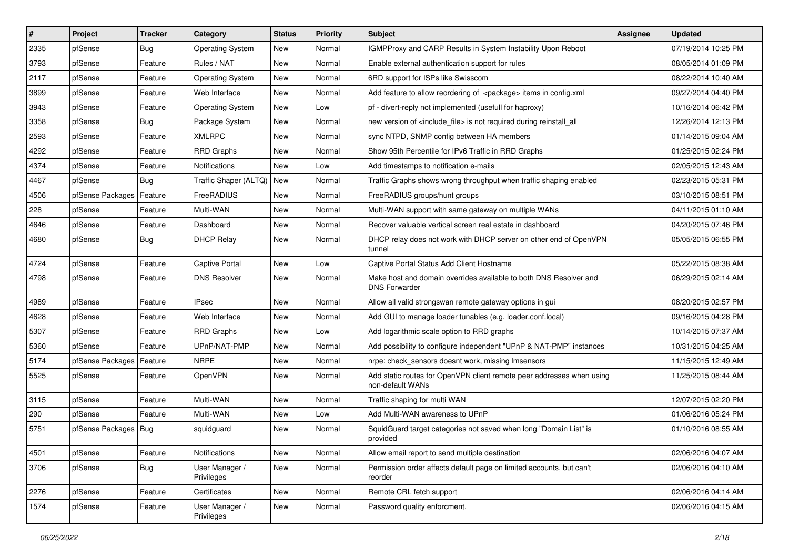| $\vert$ # | Project                | <b>Tracker</b> | Category                     | <b>Status</b> | <b>Priority</b> | <b>Subject</b>                                                                            | <b>Assignee</b> | <b>Updated</b>      |
|-----------|------------------------|----------------|------------------------------|---------------|-----------------|-------------------------------------------------------------------------------------------|-----------------|---------------------|
| 2335      | pfSense                | Bug            | <b>Operating System</b>      | New           | Normal          | IGMPProxy and CARP Results in System Instability Upon Reboot                              |                 | 07/19/2014 10:25 PM |
| 3793      | pfSense                | Feature        | Rules / NAT                  | <b>New</b>    | Normal          | Enable external authentication support for rules                                          |                 | 08/05/2014 01:09 PM |
| 2117      | pfSense                | Feature        | <b>Operating System</b>      | <b>New</b>    | Normal          | 6RD support for ISPs like Swisscom                                                        |                 | 08/22/2014 10:40 AM |
| 3899      | pfSense                | Feature        | Web Interface                | <b>New</b>    | Normal          | Add feature to allow reordering of <package> items in config.xml</package>                |                 | 09/27/2014 04:40 PM |
| 3943      | pfSense                | Feature        | <b>Operating System</b>      | <b>New</b>    | Low             | pf - divert-reply not implemented (usefull for haproxy)                                   |                 | 10/16/2014 06:42 PM |
| 3358      | pfSense                | Bug            | Package System               | New           | Normal          | new version of <include file=""> is not required during reinstall all</include>           |                 | 12/26/2014 12:13 PM |
| 2593      | pfSense                | Feature        | <b>XMLRPC</b>                | <b>New</b>    | Normal          | sync NTPD, SNMP config between HA members                                                 |                 | 01/14/2015 09:04 AM |
| 4292      | pfSense                | Feature        | <b>RRD Graphs</b>            | <b>New</b>    | Normal          | Show 95th Percentile for IPv6 Traffic in RRD Graphs                                       |                 | 01/25/2015 02:24 PM |
| 4374      | pfSense                | Feature        | Notifications                | <b>New</b>    | Low             | Add timestamps to notification e-mails                                                    |                 | 02/05/2015 12:43 AM |
| 4467      | pfSense                | Bug            | Traffic Shaper (ALTQ)        | New           | Normal          | Traffic Graphs shows wrong throughput when traffic shaping enabled                        |                 | 02/23/2015 05:31 PM |
| 4506      | pfSense Packages       | Feature        | FreeRADIUS                   | <b>New</b>    | Normal          | FreeRADIUS groups/hunt groups                                                             |                 | 03/10/2015 08:51 PM |
| 228       | pfSense                | Feature        | Multi-WAN                    | <b>New</b>    | Normal          | Multi-WAN support with same gateway on multiple WANs                                      |                 | 04/11/2015 01:10 AM |
| 4646      | pfSense                | Feature        | Dashboard                    | <b>New</b>    | Normal          | Recover valuable vertical screen real estate in dashboard                                 |                 | 04/20/2015 07:46 PM |
| 4680      | pfSense                | <b>Bug</b>     | <b>DHCP Relay</b>            | <b>New</b>    | Normal          | DHCP relay does not work with DHCP server on other end of OpenVPN<br>tunnel               |                 | 05/05/2015 06:55 PM |
| 4724      | pfSense                | Feature        | Captive Portal               | <b>New</b>    | Low             | Captive Portal Status Add Client Hostname                                                 |                 | 05/22/2015 08:38 AM |
| 4798      | pfSense                | Feature        | <b>DNS Resolver</b>          | <b>New</b>    | Normal          | Make host and domain overrides available to both DNS Resolver and<br><b>DNS Forwarder</b> |                 | 06/29/2015 02:14 AM |
| 4989      | pfSense                | Feature        | <b>IPsec</b>                 | <b>New</b>    | Normal          | Allow all valid strongswan remote gateway options in gui                                  |                 | 08/20/2015 02:57 PM |
| 4628      | pfSense                | Feature        | Web Interface                | <b>New</b>    | Normal          | Add GUI to manage loader tunables (e.g. loader.conf.local)                                |                 | 09/16/2015 04:28 PM |
| 5307      | pfSense                | Feature        | <b>RRD Graphs</b>            | <b>New</b>    | Low             | Add logarithmic scale option to RRD graphs                                                |                 | 10/14/2015 07:37 AM |
| 5360      | pfSense                | Feature        | UPnP/NAT-PMP                 | New           | Normal          | Add possibility to configure independent "UPnP & NAT-PMP" instances                       |                 | 10/31/2015 04:25 AM |
| 5174      | pfSense Packages       | Feature        | <b>NRPE</b>                  | New           | Normal          | nrpe: check_sensors doesnt work, missing Imsensors                                        |                 | 11/15/2015 12:49 AM |
| 5525      | pfSense                | Feature        | OpenVPN                      | <b>New</b>    | Normal          | Add static routes for OpenVPN client remote peer addresses when using<br>non-default WANs |                 | 11/25/2015 08:44 AM |
| 3115      | pfSense                | Feature        | Multi-WAN                    | <b>New</b>    | Normal          | Traffic shaping for multi WAN                                                             |                 | 12/07/2015 02:20 PM |
| 290       | pfSense                | Feature        | Multi-WAN                    | <b>New</b>    | Low             | Add Multi-WAN awareness to UPnP                                                           |                 | 01/06/2016 05:24 PM |
| 5751      | pfSense Packages   Bug |                | squidguard                   | New           | Normal          | SquidGuard target categories not saved when long "Domain List" is<br>provided             |                 | 01/10/2016 08:55 AM |
| 4501      | pfSense                | Feature        | Notifications                | New           | Normal          | Allow email report to send multiple destination                                           |                 | 02/06/2016 04:07 AM |
| 3706      | pfSense                | <b>Bug</b>     | User Manager /<br>Privileges | New           | Normal          | Permission order affects default page on limited accounts, but can't<br>reorder           |                 | 02/06/2016 04:10 AM |
| 2276      | pfSense                | Feature        | Certificates                 | New           | Normal          | Remote CRL fetch support                                                                  |                 | 02/06/2016 04:14 AM |
| 1574      | pfSense                | Feature        | User Manager /<br>Privileges | New           | Normal          | Password quality enforcment.                                                              |                 | 02/06/2016 04:15 AM |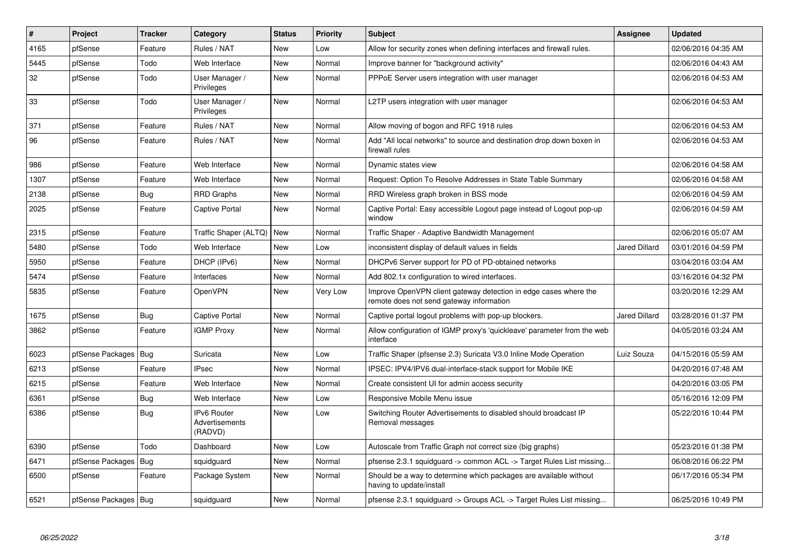| $\pmb{\sharp}$ | Project                | <b>Tracker</b> | Category                                 | <b>Status</b> | <b>Priority</b> | <b>Subject</b>                                                                                               | Assignee             | <b>Updated</b>      |
|----------------|------------------------|----------------|------------------------------------------|---------------|-----------------|--------------------------------------------------------------------------------------------------------------|----------------------|---------------------|
| 4165           | pfSense                | Feature        | Rules / NAT                              | <b>New</b>    | Low             | Allow for security zones when defining interfaces and firewall rules.                                        |                      | 02/06/2016 04:35 AM |
| 5445           | pfSense                | Todo           | Web Interface                            | <b>New</b>    | Normal          | Improve banner for "background activity"                                                                     |                      | 02/06/2016 04:43 AM |
| 32             | pfSense                | Todo           | User Manager /<br>Privileges             | <b>New</b>    | Normal          | PPPoE Server users integration with user manager                                                             |                      | 02/06/2016 04:53 AM |
| 33             | pfSense                | Todo           | User Manager /<br>Privileges             | New           | Normal          | L2TP users integration with user manager                                                                     |                      | 02/06/2016 04:53 AM |
| 371            | pfSense                | Feature        | Rules / NAT                              | <b>New</b>    | Normal          | Allow moving of bogon and RFC 1918 rules                                                                     |                      | 02/06/2016 04:53 AM |
| 96             | pfSense                | Feature        | Rules / NAT                              | <b>New</b>    | Normal          | Add "All local networks" to source and destination drop down boxen in<br>firewall rules                      |                      | 02/06/2016 04:53 AM |
| 986            | pfSense                | Feature        | Web Interface                            | <b>New</b>    | Normal          | Dynamic states view                                                                                          |                      | 02/06/2016 04:58 AM |
| 1307           | pfSense                | Feature        | Web Interface                            | <b>New</b>    | Normal          | Request: Option To Resolve Addresses in State Table Summary                                                  |                      | 02/06/2016 04:58 AM |
| 2138           | pfSense                | Bug            | RRD Graphs                               | New           | Normal          | RRD Wireless graph broken in BSS mode                                                                        |                      | 02/06/2016 04:59 AM |
| 2025           | pfSense                | Feature        | <b>Captive Portal</b>                    | New           | Normal          | Captive Portal: Easy accessible Logout page instead of Logout pop-up<br>window                               |                      | 02/06/2016 04:59 AM |
| 2315           | pfSense                | Feature        | Traffic Shaper (ALTQ)   New              |               | Normal          | Traffic Shaper - Adaptive Bandwidth Management                                                               |                      | 02/06/2016 05:07 AM |
| 5480           | pfSense                | Todo           | Web Interface                            | New           | Low             | inconsistent display of default values in fields                                                             | <b>Jared Dillard</b> | 03/01/2016 04:59 PM |
| 5950           | pfSense                | Feature        | DHCP (IPv6)                              | <b>New</b>    | Normal          | DHCPv6 Server support for PD of PD-obtained networks                                                         |                      | 03/04/2016 03:04 AM |
| 5474           | pfSense                | Feature        | Interfaces                               | <b>New</b>    | Normal          | Add 802.1x configuration to wired interfaces.                                                                |                      | 03/16/2016 04:32 PM |
| 5835           | pfSense                | Feature        | <b>OpenVPN</b>                           | New           | Very Low        | Improve OpenVPN client gateway detection in edge cases where the<br>remote does not send gateway information |                      | 03/20/2016 12:29 AM |
| 1675           | pfSense                | Bug            | <b>Captive Portal</b>                    | <b>New</b>    | Normal          | Captive portal logout problems with pop-up blockers.                                                         | <b>Jared Dillard</b> | 03/28/2016 01:37 PM |
| 3862           | pfSense                | Feature        | <b>IGMP Proxy</b>                        | New           | Normal          | Allow configuration of IGMP proxy's 'quickleave' parameter from the web<br>interface                         |                      | 04/05/2016 03:24 AM |
| 6023           | pfSense Packages   Bug |                | Suricata                                 | <b>New</b>    | Low             | Traffic Shaper (pfsense 2.3) Suricata V3.0 Inline Mode Operation                                             | Luiz Souza           | 04/15/2016 05:59 AM |
| 6213           | pfSense                | Feature        | <b>IPsec</b>                             | New           | Normal          | IPSEC: IPV4/IPV6 dual-interface-stack support for Mobile IKE                                                 |                      | 04/20/2016 07:48 AM |
| 6215           | pfSense                | Feature        | Web Interface                            | <b>New</b>    | Normal          | Create consistent UI for admin access security                                                               |                      | 04/20/2016 03:05 PM |
| 6361           | pfSense                | Bug            | Web Interface                            | <b>New</b>    | Low             | Responsive Mobile Menu issue                                                                                 |                      | 05/16/2016 12:09 PM |
| 6386           | pfSense                | Bug            | IPv6 Router<br>Advertisements<br>(RADVD) | New           | Low             | Switching Router Advertisements to disabled should broadcast IP<br>Removal messages                          |                      | 05/22/2016 10:44 PM |
| 6390           | pfSense                | Todo           | Dashboard                                | New           | Low             | Autoscale from Traffic Graph not correct size (big graphs)                                                   |                      | 05/23/2016 01:38 PM |
| 6471           | pfSense Packages   Bug |                | squidguard                               | <b>New</b>    | Normal          | pfsense 2.3.1 squidguard -> common ACL -> Target Rules List missing                                          |                      | 06/08/2016 06:22 PM |
| 6500           | pfSense                | Feature        | Package System                           | New           | Normal          | Should be a way to determine which packages are available without<br>having to update/install                |                      | 06/17/2016 05:34 PM |
| 6521           | pfSense Packages   Bug |                | squidguard                               | New           | Normal          | pfsense 2.3.1 squidguard -> Groups ACL -> Target Rules List missing                                          |                      | 06/25/2016 10:49 PM |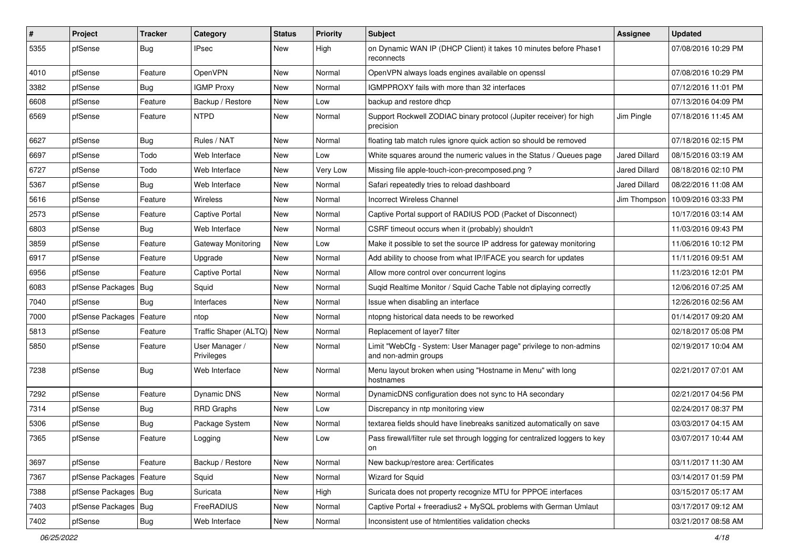| $\vert$ # | Project                | <b>Tracker</b> | Category                     | <b>Status</b> | <b>Priority</b> | <b>Subject</b>                                                                             | Assignee             | <b>Updated</b>                     |
|-----------|------------------------|----------------|------------------------------|---------------|-----------------|--------------------------------------------------------------------------------------------|----------------------|------------------------------------|
| 5355      | pfSense                | Bug            | IPsec                        | New           | High            | on Dynamic WAN IP (DHCP Client) it takes 10 minutes before Phase1<br>reconnects            |                      | 07/08/2016 10:29 PM                |
| 4010      | pfSense                | Feature        | OpenVPN                      | New           | Normal          | OpenVPN always loads engines available on openssl                                          |                      | 07/08/2016 10:29 PM                |
| 3382      | pfSense                | Bug            | <b>IGMP Proxy</b>            | New           | Normal          | IGMPPROXY fails with more than 32 interfaces                                               |                      | 07/12/2016 11:01 PM                |
| 6608      | pfSense                | Feature        | Backup / Restore             | <b>New</b>    | Low             | backup and restore dhcp                                                                    |                      | 07/13/2016 04:09 PM                |
| 6569      | pfSense                | Feature        | <b>NTPD</b>                  | New           | Normal          | Support Rockwell ZODIAC binary protocol (Jupiter receiver) for high<br>precision           | Jim Pingle           | 07/18/2016 11:45 AM                |
| 6627      | pfSense                | Bug            | Rules / NAT                  | <b>New</b>    | Normal          | floating tab match rules ignore quick action so should be removed                          |                      | 07/18/2016 02:15 PM                |
| 6697      | pfSense                | Todo           | Web Interface                | New           | Low             | White squares around the numeric values in the Status / Queues page                        | Jared Dillard        | 08/15/2016 03:19 AM                |
| 6727      | pfSense                | Todo           | Web Interface                | New           | Very Low        | Missing file apple-touch-icon-precomposed.png?                                             | Jared Dillard        | 08/18/2016 02:10 PM                |
| 5367      | pfSense                | Bug            | Web Interface                | New           | Normal          | Safari repeatedly tries to reload dashboard                                                | <b>Jared Dillard</b> | 08/22/2016 11:08 AM                |
| 5616      | pfSense                | Feature        | <b>Wireless</b>              | New           | Normal          | <b>Incorrect Wireless Channel</b>                                                          |                      | Jim Thompson   10/09/2016 03:33 PM |
| 2573      | pfSense                | Feature        | <b>Captive Portal</b>        | <b>New</b>    | Normal          | Captive Portal support of RADIUS POD (Packet of Disconnect)                                |                      | 10/17/2016 03:14 AM                |
| 6803      | pfSense                | Bug            | Web Interface                | <b>New</b>    | Normal          | CSRF timeout occurs when it (probably) shouldn't                                           |                      | 11/03/2016 09:43 PM                |
| 3859      | pfSense                | Feature        | Gateway Monitoring           | <b>New</b>    | Low             | Make it possible to set the source IP address for gateway monitoring                       |                      | 11/06/2016 10:12 PM                |
| 6917      | pfSense                | Feature        | Upgrade                      | New           | Normal          | Add ability to choose from what IP/IFACE you search for updates                            |                      | 11/11/2016 09:51 AM                |
| 6956      | pfSense                | Feature        | <b>Captive Portal</b>        | <b>New</b>    | Normal          | Allow more control over concurrent logins                                                  |                      | 11/23/2016 12:01 PM                |
| 6083      | pfSense Packages       | Bug            | Squid                        | New           | Normal          | Suqid Realtime Monitor / Squid Cache Table not diplaying correctly                         |                      | 12/06/2016 07:25 AM                |
| 7040      | pfSense                | Bug            | Interfaces                   | New           | Normal          | Issue when disabling an interface                                                          |                      | 12/26/2016 02:56 AM                |
| 7000      | pfSense Packages       | Feature        | ntop                         | <b>New</b>    | Normal          | ntopng historical data needs to be reworked                                                |                      | 01/14/2017 09:20 AM                |
| 5813      | pfSense                | Feature        | Traffic Shaper (ALTQ)        | New           | Normal          | Replacement of layer7 filter                                                               |                      | 02/18/2017 05:08 PM                |
| 5850      | pfSense                | Feature        | User Manager /<br>Privileges | New           | Normal          | Limit "WebCfg - System: User Manager page" privilege to non-admins<br>and non-admin groups |                      | 02/19/2017 10:04 AM                |
| 7238      | pfSense                | Bug            | Web Interface                | New           | Normal          | Menu layout broken when using "Hostname in Menu" with long<br>hostnames                    |                      | 02/21/2017 07:01 AM                |
| 7292      | pfSense                | Feature        | Dynamic DNS                  | <b>New</b>    | Normal          | DynamicDNS configuration does not sync to HA secondary                                     |                      | 02/21/2017 04:56 PM                |
| 7314      | pfSense                | Bug            | <b>RRD Graphs</b>            | New           | Low             | Discrepancy in ntp monitoring view                                                         |                      | 02/24/2017 08:37 PM                |
| 5306      | pfSense                | Bug            | Package System               | New           | Normal          | textarea fields should have linebreaks sanitized automatically on save                     |                      | 03/03/2017 04:15 AM                |
| 7365      | pfSense                | Feature        | Logging                      | <b>New</b>    | Low             | Pass firewall/filter rule set through logging for centralized loggers to key<br>on         |                      | 03/07/2017 10:44 AM                |
| 3697      | pfSense                | Feature        | Backup / Restore             | New           | Normal          | New backup/restore area: Certificates                                                      |                      | 03/11/2017 11:30 AM                |
| 7367      | pfSense Packages       | Feature        | Squid                        | New           | Normal          | <b>Wizard for Squid</b>                                                                    |                      | 03/14/2017 01:59 PM                |
| 7388      | pfSense Packages   Bug |                | Suricata                     | New           | High            | Suricata does not property recognize MTU for PPPOE interfaces                              |                      | 03/15/2017 05:17 AM                |
| 7403      | pfSense Packages       | <b>Bug</b>     | FreeRADIUS                   | New           | Normal          | Captive Portal + freeradius2 + MySQL problems with German Umlaut                           |                      | 03/17/2017 09:12 AM                |
| 7402      | pfSense                | Bug            | Web Interface                | New           | Normal          | Inconsistent use of htmlentities validation checks                                         |                      | 03/21/2017 08:58 AM                |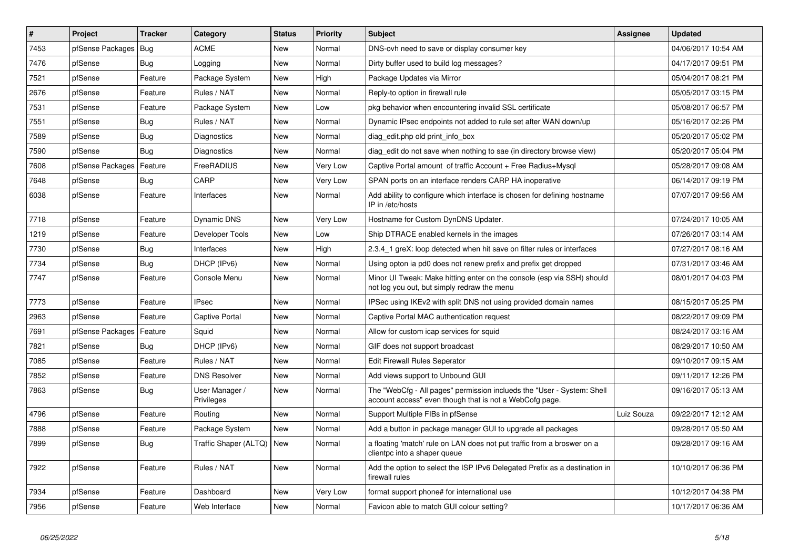| #    | Project                    | <b>Tracker</b> | Category                     | <b>Status</b> | <b>Priority</b> | <b>Subject</b>                                                                                                                    | <b>Assignee</b> | <b>Updated</b>      |
|------|----------------------------|----------------|------------------------------|---------------|-----------------|-----------------------------------------------------------------------------------------------------------------------------------|-----------------|---------------------|
| 7453 | pfSense Packages   Bug     |                | <b>ACME</b>                  | <b>New</b>    | Normal          | DNS-ovh need to save or display consumer key                                                                                      |                 | 04/06/2017 10:54 AM |
| 7476 | pfSense                    | Bug            | Logging                      | <b>New</b>    | Normal          | Dirty buffer used to build log messages?                                                                                          |                 | 04/17/2017 09:51 PM |
| 7521 | pfSense                    | Feature        | Package System               | <b>New</b>    | High            | Package Updates via Mirror                                                                                                        |                 | 05/04/2017 08:21 PM |
| 2676 | pfSense                    | Feature        | Rules / NAT                  | New           | Normal          | Reply-to option in firewall rule                                                                                                  |                 | 05/05/2017 03:15 PM |
| 7531 | pfSense                    | Feature        | Package System               | <b>New</b>    | Low             | pkg behavior when encountering invalid SSL certificate                                                                            |                 | 05/08/2017 06:57 PM |
| 7551 | pfSense                    | Bug            | Rules / NAT                  | <b>New</b>    | Normal          | Dynamic IPsec endpoints not added to rule set after WAN down/up                                                                   |                 | 05/16/2017 02:26 PM |
| 7589 | pfSense                    | Bug            | Diagnostics                  | <b>New</b>    | Normal          | diag edit.php old print info box                                                                                                  |                 | 05/20/2017 05:02 PM |
| 7590 | pfSense                    | Bug            | <b>Diagnostics</b>           | New           | Normal          | diag edit do not save when nothing to sae (in directory browse view)                                                              |                 | 05/20/2017 05:04 PM |
| 7608 | pfSense Packages           | Feature        | FreeRADIUS                   | <b>New</b>    | Very Low        | Captive Portal amount of traffic Account + Free Radius+Mysql                                                                      |                 | 05/28/2017 09:08 AM |
| 7648 | pfSense                    | Bug            | CARP                         | <b>New</b>    | Very Low        | SPAN ports on an interface renders CARP HA inoperative                                                                            |                 | 06/14/2017 09:19 PM |
| 6038 | pfSense                    | Feature        | Interfaces                   | <b>New</b>    | Normal          | Add ability to configure which interface is chosen for defining hostname<br>IP in /etc/hosts                                      |                 | 07/07/2017 09:56 AM |
| 7718 | pfSense                    | Feature        | <b>Dynamic DNS</b>           | <b>New</b>    | Very Low        | Hostname for Custom DynDNS Updater.                                                                                               |                 | 07/24/2017 10:05 AM |
| 1219 | pfSense                    | Feature        | Developer Tools              | <b>New</b>    | Low             | Ship DTRACE enabled kernels in the images                                                                                         |                 | 07/26/2017 03:14 AM |
| 7730 | pfSense                    | Bug            | Interfaces                   | <b>New</b>    | High            | 2.3.4_1 greX: loop detected when hit save on filter rules or interfaces                                                           |                 | 07/27/2017 08:16 AM |
| 7734 | pfSense                    | Bug            | DHCP (IPv6)                  | <b>New</b>    | Normal          | Using opton ia pd0 does not renew prefix and prefix get dropped                                                                   |                 | 07/31/2017 03:46 AM |
| 7747 | pfSense                    | Feature        | Console Menu                 | New           | Normal          | Minor UI Tweak: Make hitting enter on the console (esp via SSH) should<br>not log you out, but simply redraw the menu             |                 | 08/01/2017 04:03 PM |
| 7773 | pfSense                    | Feature        | <b>IPsec</b>                 | New           | Normal          | IPSec using IKEv2 with split DNS not using provided domain names                                                                  |                 | 08/15/2017 05:25 PM |
| 2963 | pfSense                    | Feature        | <b>Captive Portal</b>        | New           | Normal          | Captive Portal MAC authentication request                                                                                         |                 | 08/22/2017 09:09 PM |
| 7691 | pfSense Packages   Feature |                | Squid                        | New           | Normal          | Allow for custom icap services for squid                                                                                          |                 | 08/24/2017 03:16 AM |
| 7821 | pfSense                    | Bug            | DHCP (IPv6)                  | New           | Normal          | GIF does not support broadcast                                                                                                    |                 | 08/29/2017 10:50 AM |
| 7085 | pfSense                    | Feature        | Rules / NAT                  | <b>New</b>    | Normal          | <b>Edit Firewall Rules Seperator</b>                                                                                              |                 | 09/10/2017 09:15 AM |
| 7852 | pfSense                    | Feature        | <b>DNS Resolver</b>          | New           | Normal          | Add views support to Unbound GUI                                                                                                  |                 | 09/11/2017 12:26 PM |
| 7863 | pfSense                    | Bug            | User Manager /<br>Privileges | New           | Normal          | The "WebCfg - All pages" permission inclueds the "User - System: Shell<br>account access" even though that is not a WebCofg page. |                 | 09/16/2017 05:13 AM |
| 4796 | pfSense                    | Feature        | Routing                      | New           | Normal          | Support Multiple FIBs in pfSense                                                                                                  | Luiz Souza      | 09/22/2017 12:12 AM |
| 7888 | pfSense                    | Feature        | Package System               | <b>New</b>    | Normal          | Add a button in package manager GUI to upgrade all packages                                                                       |                 | 09/28/2017 05:50 AM |
| 7899 | pfSense                    | Bug            | Traffic Shaper (ALTQ)   New  |               | Normal          | a floating 'match' rule on LAN does not put traffic from a broswer on a<br>clientpc into a shaper queue                           |                 | 09/28/2017 09:16 AM |
| 7922 | pfSense                    | Feature        | Rules / NAT                  | New           | Normal          | Add the option to select the ISP IPv6 Delegated Prefix as a destination in<br>firewall rules                                      |                 | 10/10/2017 06:36 PM |
| 7934 | pfSense                    | Feature        | Dashboard                    | <b>New</b>    | Very Low        | format support phone# for international use                                                                                       |                 | 10/12/2017 04:38 PM |
| 7956 | pfSense                    | Feature        | Web Interface                | New           | Normal          | Favicon able to match GUI colour setting?                                                                                         |                 | 10/17/2017 06:36 AM |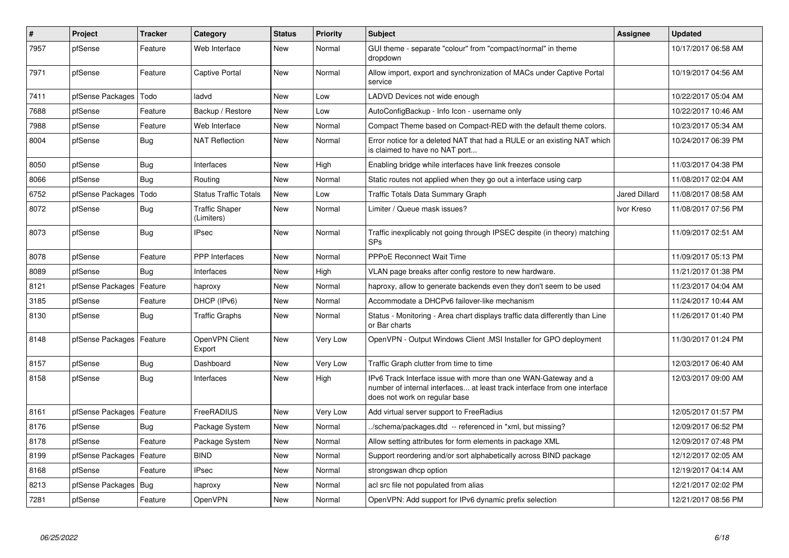| $\pmb{\#}$ | Project                    | <b>Tracker</b> | Category                            | <b>Status</b> | <b>Priority</b> | <b>Subject</b>                                                                                                                                                                | Assignee             | <b>Updated</b>      |
|------------|----------------------------|----------------|-------------------------------------|---------------|-----------------|-------------------------------------------------------------------------------------------------------------------------------------------------------------------------------|----------------------|---------------------|
| 7957       | pfSense                    | Feature        | Web Interface                       | <b>New</b>    | Normal          | GUI theme - separate "colour" from "compact/normal" in theme<br>dropdown                                                                                                      |                      | 10/17/2017 06:58 AM |
| 7971       | pfSense                    | Feature        | Captive Portal                      | New           | Normal          | Allow import, export and synchronization of MACs under Captive Portal<br>service                                                                                              |                      | 10/19/2017 04:56 AM |
| 7411       | pfSense Packages           | Todo           | ladvd                               | New           | Low             | LADVD Devices not wide enough                                                                                                                                                 |                      | 10/22/2017 05:04 AM |
| 7688       | pfSense                    | Feature        | Backup / Restore                    | <b>New</b>    | Low             | AutoConfigBackup - Info Icon - username only                                                                                                                                  |                      | 10/22/2017 10:46 AM |
| 7988       | pfSense                    | Feature        | Web Interface                       | <b>New</b>    | Normal          | Compact Theme based on Compact-RED with the default theme colors.                                                                                                             |                      | 10/23/2017 05:34 AM |
| 8004       | pfSense                    | <b>Bug</b>     | <b>NAT Reflection</b>               | New           | Normal          | Error notice for a deleted NAT that had a RULE or an existing NAT which<br>is claimed to have no NAT port                                                                     |                      | 10/24/2017 06:39 PM |
| 8050       | pfSense                    | <b>Bug</b>     | Interfaces                          | <b>New</b>    | High            | Enabling bridge while interfaces have link freezes console                                                                                                                    |                      | 11/03/2017 04:38 PM |
| 8066       | pfSense                    | <b>Bug</b>     | Routing                             | <b>New</b>    | Normal          | Static routes not applied when they go out a interface using carp                                                                                                             |                      | 11/08/2017 02:04 AM |
| 6752       | pfSense Packages           | Todo           | <b>Status Traffic Totals</b>        | <b>New</b>    | Low             | Traffic Totals Data Summary Graph                                                                                                                                             | <b>Jared Dillard</b> | 11/08/2017 08:58 AM |
| 8072       | pfSense                    | <b>Bug</b>     | <b>Traffic Shaper</b><br>(Limiters) | <b>New</b>    | Normal          | Limiter / Queue mask issues?                                                                                                                                                  | Ivor Kreso           | 11/08/2017 07:56 PM |
| 8073       | pfSense                    | Bug            | <b>IPsec</b>                        | <b>New</b>    | Normal          | Traffic inexplicably not going through IPSEC despite (in theory) matching<br><b>SPs</b>                                                                                       |                      | 11/09/2017 02:51 AM |
| 8078       | pfSense                    | Feature        | <b>PPP</b> Interfaces               | <b>New</b>    | Normal          | <b>PPPoE Reconnect Wait Time</b>                                                                                                                                              |                      | 11/09/2017 05:13 PM |
| 8089       | pfSense                    | Bug            | Interfaces                          | New           | High            | VLAN page breaks after config restore to new hardware.                                                                                                                        |                      | 11/21/2017 01:38 PM |
| 8121       | pfSense Packages           | Feature        | haproxy                             | New           | Normal          | haproxy, allow to generate backends even they don't seem to be used                                                                                                           |                      | 11/23/2017 04:04 AM |
| 3185       | pfSense                    | Feature        | DHCP (IPv6)                         | New           | Normal          | Accommodate a DHCPv6 failover-like mechanism                                                                                                                                  |                      | 11/24/2017 10:44 AM |
| 8130       | pfSense                    | <b>Bug</b>     | <b>Traffic Graphs</b>               | New           | Normal          | Status - Monitoring - Area chart displays traffic data differently than Line<br>or Bar charts                                                                                 |                      | 11/26/2017 01:40 PM |
| 8148       | pfSense Packages   Feature |                | OpenVPN Client<br>Export            | <b>New</b>    | Very Low        | OpenVPN - Output Windows Client .MSI Installer for GPO deployment                                                                                                             |                      | 11/30/2017 01:24 PM |
| 8157       | pfSense                    | Bug            | Dashboard                           | <b>New</b>    | Very Low        | Traffic Graph clutter from time to time                                                                                                                                       |                      | 12/03/2017 06:40 AM |
| 8158       | pfSense                    | <b>Bug</b>     | Interfaces                          | <b>New</b>    | High            | IPv6 Track Interface issue with more than one WAN-Gateway and a<br>number of internal interfaces at least track interface from one interface<br>does not work on regular base |                      | 12/03/2017 09:00 AM |
| 8161       | pfSense Packages           | Feature        | FreeRADIUS                          | <b>New</b>    | Very Low        | Add virtual server support to FreeRadius                                                                                                                                      |                      | 12/05/2017 01:57 PM |
| 8176       | pfSense                    | Bug            | Package System                      | New           | Normal          | ./schema/packages.dtd -- referenced in *xml, but missing?                                                                                                                     |                      | 12/09/2017 06:52 PM |
| 8178       | pfSense                    | Feature        | Package System                      | <b>New</b>    | Normal          | Allow setting attributes for form elements in package XML                                                                                                                     |                      | 12/09/2017 07:48 PM |
| 8199       | pfSense Packages           | Feature        | <b>BIND</b>                         | <b>New</b>    | Normal          | Support reordering and/or sort alphabetically across BIND package                                                                                                             |                      | 12/12/2017 02:05 AM |
| 8168       | pfSense                    | Feature        | IPsec                               | New           | Normal          | strongswan dhcp option                                                                                                                                                        |                      | 12/19/2017 04:14 AM |
| 8213       | pfSense Packages           | Bug            | haproxy                             | New           | Normal          | acl src file not populated from alias                                                                                                                                         |                      | 12/21/2017 02:02 PM |
| 7281       | pfSense                    | Feature        | OpenVPN                             | <b>New</b>    | Normal          | OpenVPN: Add support for IPv6 dynamic prefix selection                                                                                                                        |                      | 12/21/2017 08:56 PM |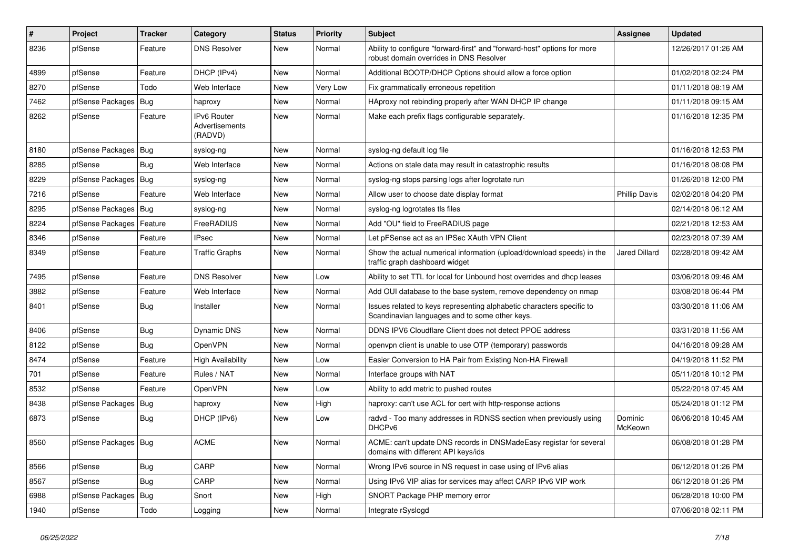| #    | Project                | Tracker    | Category                                 | <b>Status</b> | <b>Priority</b> | <b>Subject</b>                                                                                                          | Assignee             | <b>Updated</b>      |
|------|------------------------|------------|------------------------------------------|---------------|-----------------|-------------------------------------------------------------------------------------------------------------------------|----------------------|---------------------|
| 8236 | pfSense                | Feature    | <b>DNS Resolver</b>                      | <b>New</b>    | Normal          | Ability to configure "forward-first" and "forward-host" options for more<br>robust domain overrides in DNS Resolver     |                      | 12/26/2017 01:26 AM |
| 4899 | pfSense                | Feature    | DHCP (IPv4)                              | <b>New</b>    | Normal          | Additional BOOTP/DHCP Options should allow a force option                                                               |                      | 01/02/2018 02:24 PM |
| 8270 | pfSense                | Todo       | Web Interface                            | <b>New</b>    | Very Low        | Fix grammatically erroneous repetition                                                                                  |                      | 01/11/2018 08:19 AM |
| 7462 | pfSense Packages       | Bug        | haproxy                                  | <b>New</b>    | Normal          | HAproxy not rebinding properly after WAN DHCP IP change                                                                 |                      | 01/11/2018 09:15 AM |
| 8262 | pfSense                | Feature    | IPv6 Router<br>Advertisements<br>(RADVD) | <b>New</b>    | Normal          | Make each prefix flags configurable separately.                                                                         |                      | 01/16/2018 12:35 PM |
| 8180 | pfSense Packages       | Bug        | syslog-ng                                | New           | Normal          | syslog-ng default log file                                                                                              |                      | 01/16/2018 12:53 PM |
| 8285 | pfSense                | <b>Bug</b> | Web Interface                            | <b>New</b>    | Normal          | Actions on stale data may result in catastrophic results                                                                |                      | 01/16/2018 08:08 PM |
| 8229 | pfSense Packages       | Bug        | syslog-ng                                | <b>New</b>    | Normal          | syslog-ng stops parsing logs after logrotate run                                                                        |                      | 01/26/2018 12:00 PM |
| 7216 | pfSense                | Feature    | Web Interface                            | <b>New</b>    | Normal          | Allow user to choose date display format                                                                                | <b>Phillip Davis</b> | 02/02/2018 04:20 PM |
| 8295 | pfSense Packages       | Bug        | syslog-ng                                | <b>New</b>    | Normal          | syslog-ng logrotates tls files                                                                                          |                      | 02/14/2018 06:12 AM |
| 8224 | pfSense Packages       | Feature    | FreeRADIUS                               | <b>New</b>    | Normal          | Add "OU" field to FreeRADIUS page                                                                                       |                      | 02/21/2018 12:53 AM |
| 8346 | pfSense                | Feature    | <b>IPsec</b>                             | <b>New</b>    | Normal          | Let pFSense act as an IPSec XAuth VPN Client                                                                            |                      | 02/23/2018 07:39 AM |
| 8349 | pfSense                | Feature    | <b>Traffic Graphs</b>                    | <b>New</b>    | Normal          | Show the actual numerical information (upload/download speeds) in the<br>traffic graph dashboard widget                 | <b>Jared Dillard</b> | 02/28/2018 09:42 AM |
| 7495 | pfSense                | Feature    | <b>DNS Resolver</b>                      | <b>New</b>    | Low             | Ability to set TTL for local for Unbound host overrides and dhcp leases                                                 |                      | 03/06/2018 09:46 AM |
| 3882 | pfSense                | Feature    | Web Interface                            | <b>New</b>    | Normal          | Add OUI database to the base system, remove dependency on nmap                                                          |                      | 03/08/2018 06:44 PM |
| 8401 | pfSense                | <b>Bug</b> | Installer                                | <b>New</b>    | Normal          | Issues related to keys representing alphabetic characters specific to<br>Scandinavian languages and to some other keys. |                      | 03/30/2018 11:06 AM |
| 8406 | pfSense                | <b>Bug</b> | Dynamic DNS                              | <b>New</b>    | Normal          | DDNS IPV6 Cloudflare Client does not detect PPOE address                                                                |                      | 03/31/2018 11:56 AM |
| 8122 | pfSense                | Bug        | OpenVPN                                  | <b>New</b>    | Normal          | openypn client is unable to use OTP (temporary) passwords                                                               |                      | 04/16/2018 09:28 AM |
| 8474 | pfSense                | Feature    | <b>High Availability</b>                 | <b>New</b>    | Low             | Easier Conversion to HA Pair from Existing Non-HA Firewall                                                              |                      | 04/19/2018 11:52 PM |
| 701  | pfSense                | Feature    | Rules / NAT                              | <b>New</b>    | Normal          | Interface groups with NAT                                                                                               |                      | 05/11/2018 10:12 PM |
| 8532 | pfSense                | Feature    | <b>OpenVPN</b>                           | <b>New</b>    | Low             | Ability to add metric to pushed routes                                                                                  |                      | 05/22/2018 07:45 AM |
| 8438 | pfSense Packages       | <b>Bug</b> | haproxy                                  | <b>New</b>    | High            | haproxy: can't use ACL for cert with http-response actions                                                              |                      | 05/24/2018 01:12 PM |
| 6873 | pfSense                | <b>Bug</b> | DHCP (IPv6)                              | <b>New</b>    | Low             | radvd - Too many addresses in RDNSS section when previously using<br>DHCPv6                                             | Dominic<br>McKeown   | 06/06/2018 10:45 AM |
| 8560 | pfSense Packages   Bug |            | <b>ACME</b>                              | New           | Normal          | ACME: can't update DNS records in DNSMadeEasy registar for several<br>domains with different API keys/ids               |                      | 06/08/2018 01:28 PM |
| 8566 | pfSense                | <b>Bug</b> | CARP                                     | New           | Normal          | Wrong IPv6 source in NS request in case using of IPv6 alias                                                             |                      | 06/12/2018 01:26 PM |
| 8567 | pfSense                | Bug        | CARP                                     | New           | Normal          | Using IPv6 VIP alias for services may affect CARP IPv6 VIP work                                                         |                      | 06/12/2018 01:26 PM |
| 6988 | pfSense Packages       | Bug        | Snort                                    | New           | High            | SNORT Package PHP memory error                                                                                          |                      | 06/28/2018 10:00 PM |
| 1940 | pfSense                | Todo       | Logging                                  | New           | Normal          | Integrate rSyslogd                                                                                                      |                      | 07/06/2018 02:11 PM |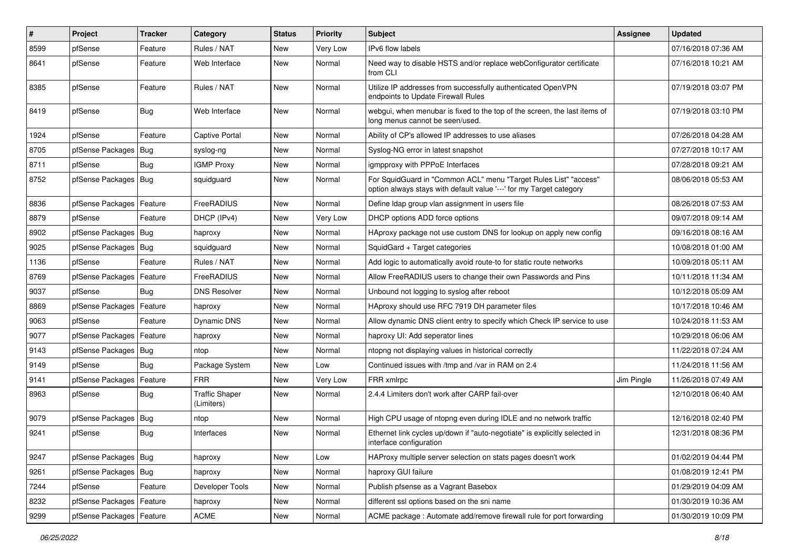| #    | Project                    | Tracker    | Category                            | <b>Status</b> | <b>Priority</b> | <b>Subject</b>                                                                                                                          | <b>Assignee</b> | <b>Updated</b>      |
|------|----------------------------|------------|-------------------------------------|---------------|-----------------|-----------------------------------------------------------------------------------------------------------------------------------------|-----------------|---------------------|
| 8599 | pfSense                    | Feature    | Rules / NAT                         | <b>New</b>    | Very Low        | IPv6 flow labels                                                                                                                        |                 | 07/16/2018 07:36 AM |
| 8641 | pfSense                    | Feature    | Web Interface                       | <b>New</b>    | Normal          | Need way to disable HSTS and/or replace webConfigurator certificate<br>from CLI                                                         |                 | 07/16/2018 10:21 AM |
| 8385 | pfSense                    | Feature    | Rules / NAT                         | <b>New</b>    | Normal          | Utilize IP addresses from successfully authenticated OpenVPN<br>endpoints to Update Firewall Rules                                      |                 | 07/19/2018 03:07 PM |
| 8419 | pfSense                    | Bug        | Web Interface                       | <b>New</b>    | Normal          | webgui, when menubar is fixed to the top of the screen, the last items of<br>long menus cannot be seen/used.                            |                 | 07/19/2018 03:10 PM |
| 1924 | pfSense                    | Feature    | Captive Portal                      | <b>New</b>    | Normal          | Ability of CP's allowed IP addresses to use aliases                                                                                     |                 | 07/26/2018 04:28 AM |
| 8705 | pfSense Packages           | Bug        | syslog-ng                           | <b>New</b>    | Normal          | Syslog-NG error in latest snapshot                                                                                                      |                 | 07/27/2018 10:17 AM |
| 8711 | pfSense                    | Bug        | <b>IGMP Proxy</b>                   | <b>New</b>    | Normal          | igmpproxy with PPPoE Interfaces                                                                                                         |                 | 07/28/2018 09:21 AM |
| 8752 | pfSense Packages           | Bug        | squidguard                          | <b>New</b>    | Normal          | For SquidGuard in "Common ACL" menu "Target Rules List" "access"<br>option always stays with default value '---' for my Target category |                 | 08/06/2018 05:53 AM |
| 8836 | pfSense Packages           | Feature    | FreeRADIUS                          | New           | Normal          | Define Idap group vlan assignment in users file                                                                                         |                 | 08/26/2018 07:53 AM |
| 8879 | pfSense                    | Feature    | DHCP (IPv4)                         | <b>New</b>    | Very Low        | DHCP options ADD force options                                                                                                          |                 | 09/07/2018 09:14 AM |
| 8902 | pfSense Packages   Bug     |            | haproxy                             | <b>New</b>    | Normal          | HAproxy package not use custom DNS for lookup on apply new config                                                                       |                 | 09/16/2018 08:16 AM |
| 9025 | pfSense Packages           | Bug        | squidquard                          | <b>New</b>    | Normal          | SquidGard + Target categories                                                                                                           |                 | 10/08/2018 01:00 AM |
| 1136 | pfSense                    | Feature    | Rules / NAT                         | <b>New</b>    | Normal          | Add logic to automatically avoid route-to for static route networks                                                                     |                 | 10/09/2018 05:11 AM |
| 8769 | pfSense Packages           | Feature    | FreeRADIUS                          | <b>New</b>    | Normal          | Allow FreeRADIUS users to change their own Passwords and Pins                                                                           |                 | 10/11/2018 11:34 AM |
| 9037 | pfSense                    | Bug        | <b>DNS Resolver</b>                 | <b>New</b>    | Normal          | Unbound not logging to syslog after reboot                                                                                              |                 | 10/12/2018 05:09 AM |
| 8869 | pfSense Packages           | Feature    | haproxy                             | New           | Normal          | HAproxy should use RFC 7919 DH parameter files                                                                                          |                 | 10/17/2018 10:46 AM |
| 9063 | pfSense                    | Feature    | Dynamic DNS                         | <b>New</b>    | Normal          | Allow dynamic DNS client entry to specify which Check IP service to use                                                                 |                 | 10/24/2018 11:53 AM |
| 9077 | pfSense Packages           | Feature    | haproxy                             | New           | Normal          | haproxy UI: Add seperator lines                                                                                                         |                 | 10/29/2018 06:06 AM |
| 9143 | pfSense Packages           | Bug        | ntop                                | <b>New</b>    | Normal          | ntopng not displaying values in historical correctly                                                                                    |                 | 11/22/2018 07:24 AM |
| 9149 | pfSense                    | Bug        | Package System                      | New           | Low             | Continued issues with /tmp and /var in RAM on 2.4                                                                                       |                 | 11/24/2018 11:56 AM |
| 9141 | pfSense Packages   Feature |            | <b>FRR</b>                          | <b>New</b>    | Very Low        | FRR xmlrpc                                                                                                                              | Jim Pingle      | 11/26/2018 07:49 AM |
| 8963 | pfSense                    | <b>Bug</b> | <b>Traffic Shaper</b><br>(Limiters) | New           | Normal          | 2.4.4 Limiters don't work after CARP fail-over                                                                                          |                 | 12/10/2018 06:40 AM |
| 9079 | pfSense Packages           | Bug        | ntop                                | <b>New</b>    | Normal          | High CPU usage of ntopng even during IDLE and no network traffic                                                                        |                 | 12/16/2018 02:40 PM |
| 9241 | pfSense                    | <b>Bug</b> | Interfaces                          | <b>New</b>    | Normal          | Ethernet link cycles up/down if "auto-negotiate" is explicitly selected in<br>interface configuration                                   |                 | 12/31/2018 08:36 PM |
| 9247 | pfSense Packages Bug       |            | haproxy                             | <b>New</b>    | Low             | HAProxy multiple server selection on stats pages doesn't work                                                                           |                 | 01/02/2019 04:44 PM |
| 9261 | pfSense Packages   Bug     |            | haproxy                             | New           | Normal          | haproxy GUI failure                                                                                                                     |                 | 01/08/2019 12:41 PM |
| 7244 | pfSense                    | Feature    | Developer Tools                     | New           | Normal          | Publish pfsense as a Vagrant Basebox                                                                                                    |                 | 01/29/2019 04:09 AM |
| 8232 | pfSense Packages           | Feature    | haproxy                             | New           | Normal          | different ssl options based on the sni name                                                                                             |                 | 01/30/2019 10:36 AM |
| 9299 | pfSense Packages           | Feature    | ACME                                | New           | Normal          | ACME package: Automate add/remove firewall rule for port forwarding                                                                     |                 | 01/30/2019 10:09 PM |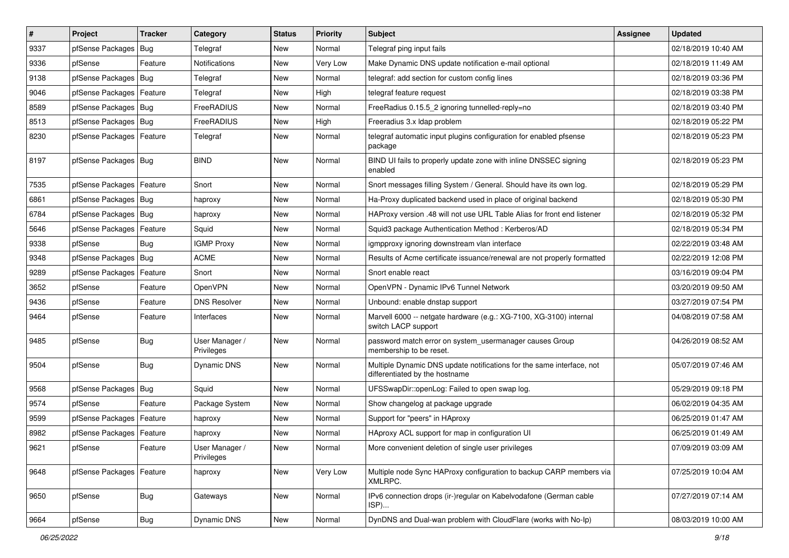| $\vert$ # | Project                    | <b>Tracker</b> | Category                     | <b>Status</b> | <b>Priority</b> | <b>Subject</b>                                                                                          | <b>Assignee</b> | <b>Updated</b>      |
|-----------|----------------------------|----------------|------------------------------|---------------|-----------------|---------------------------------------------------------------------------------------------------------|-----------------|---------------------|
| 9337      | pfSense Packages           | Bug            | Telegraf                     | New           | Normal          | Telegraf ping input fails                                                                               |                 | 02/18/2019 10:40 AM |
| 9336      | pfSense                    | Feature        | Notifications                | New           | Very Low        | Make Dynamic DNS update notification e-mail optional                                                    |                 | 02/18/2019 11:49 AM |
| 9138      | pfSense Packages           | <b>Bug</b>     | Telegraf                     | <b>New</b>    | Normal          | telegraf: add section for custom config lines                                                           |                 | 02/18/2019 03:36 PM |
| 9046      | pfSense Packages   Feature |                | Telegraf                     | <b>New</b>    | High            | telegraf feature request                                                                                |                 | 02/18/2019 03:38 PM |
| 8589      | pfSense Packages           | Bug            | FreeRADIUS                   | <b>New</b>    | Normal          | FreeRadius 0.15.5_2 ignoring tunnelled-reply=no                                                         |                 | 02/18/2019 03:40 PM |
| 8513      | pfSense Packages   Bug     |                | FreeRADIUS                   | <b>New</b>    | High            | Freeradius 3.x Idap problem                                                                             |                 | 02/18/2019 05:22 PM |
| 8230      | pfSense Packages   Feature |                | Telegraf                     | <b>New</b>    | Normal          | telegraf automatic input plugins configuration for enabled pfsense<br>package                           |                 | 02/18/2019 05:23 PM |
| 8197      | pfSense Packages   Bug     |                | <b>BIND</b>                  | <b>New</b>    | Normal          | BIND UI fails to properly update zone with inline DNSSEC signing<br>enabled                             |                 | 02/18/2019 05:23 PM |
| 7535      | pfSense Packages           | Feature        | Snort                        | <b>New</b>    | Normal          | Snort messages filling System / General. Should have its own log.                                       |                 | 02/18/2019 05:29 PM |
| 6861      | pfSense Packages   Bug     |                | haproxy                      | <b>New</b>    | Normal          | Ha-Proxy duplicated backend used in place of original backend                                           |                 | 02/18/2019 05:30 PM |
| 6784      | pfSense Packages           | Bug            | haproxy                      | New           | Normal          | HAProxy version .48 will not use URL Table Alias for front end listener                                 |                 | 02/18/2019 05:32 PM |
| 5646      | pfSense Packages           | Feature        | Squid                        | <b>New</b>    | Normal          | Squid3 package Authentication Method: Kerberos/AD                                                       |                 | 02/18/2019 05:34 PM |
| 9338      | pfSense                    | Bug            | <b>IGMP Proxy</b>            | <b>New</b>    | Normal          | igmpproxy ignoring downstream vlan interface                                                            |                 | 02/22/2019 03:48 AM |
| 9348      | pfSense Packages           | Bug            | ACME                         | <b>New</b>    | Normal          | Results of Acme certificate issuance/renewal are not properly formatted                                 |                 | 02/22/2019 12:08 PM |
| 9289      | pfSense Packages           | Feature        | Snort                        | <b>New</b>    | Normal          | Snort enable react                                                                                      |                 | 03/16/2019 09:04 PM |
| 3652      | pfSense                    | Feature        | OpenVPN                      | <b>New</b>    | Normal          | OpenVPN - Dynamic IPv6 Tunnel Network                                                                   |                 | 03/20/2019 09:50 AM |
| 9436      | pfSense                    | Feature        | <b>DNS Resolver</b>          | <b>New</b>    | Normal          | Unbound: enable dnstap support                                                                          |                 | 03/27/2019 07:54 PM |
| 9464      | pfSense                    | Feature        | Interfaces                   | <b>New</b>    | Normal          | Marvell 6000 -- netgate hardware (e.g.: XG-7100, XG-3100) internal<br>switch LACP support               |                 | 04/08/2019 07:58 AM |
| 9485      | pfSense                    | Bug            | User Manager /<br>Privileges | <b>New</b>    | Normal          | password match error on system usermanager causes Group<br>membership to be reset.                      |                 | 04/26/2019 08:52 AM |
| 9504      | pfSense                    | <b>Bug</b>     | Dynamic DNS                  | New           | Normal          | Multiple Dynamic DNS update notifications for the same interface, not<br>differentiated by the hostname |                 | 05/07/2019 07:46 AM |
| 9568      | pfSense Packages           | Bug            | Squid                        | <b>New</b>    | Normal          | UFSSwapDir::openLog: Failed to open swap log.                                                           |                 | 05/29/2019 09:18 PM |
| 9574      | pfSense                    | Feature        | Package System               | New           | Normal          | Show changelog at package upgrade                                                                       |                 | 06/02/2019 04:35 AM |
| 9599      | pfSense Packages           | Feature        | haproxy                      | <b>New</b>    | Normal          | Support for "peers" in HAproxy                                                                          |                 | 06/25/2019 01:47 AM |
| 8982      | pfSense Packages           | Feature        | haproxy                      | New           | Normal          | HAproxy ACL support for map in configuration UI                                                         |                 | 06/25/2019 01:49 AM |
| 9621      | pfSense                    | Feature        | User Manager /<br>Privileges | New           | Normal          | More convenient deletion of single user privileges                                                      |                 | 07/09/2019 03:09 AM |
| 9648      | pfSense Packages   Feature |                | haproxy                      | New           | Very Low        | Multiple node Sync HAProxy configuration to backup CARP members via<br>XMLRPC.                          |                 | 07/25/2019 10:04 AM |
| 9650      | pfSense                    | <b>Bug</b>     | Gateways                     | New           | Normal          | IPv6 connection drops (ir-)regular on Kabelvodafone (German cable<br>ISP)                               |                 | 07/27/2019 07:14 AM |
| 9664      | pfSense                    | Bug            | Dynamic DNS                  | New           | Normal          | DynDNS and Dual-wan problem with CloudFlare (works with No-Ip)                                          |                 | 08/03/2019 10:00 AM |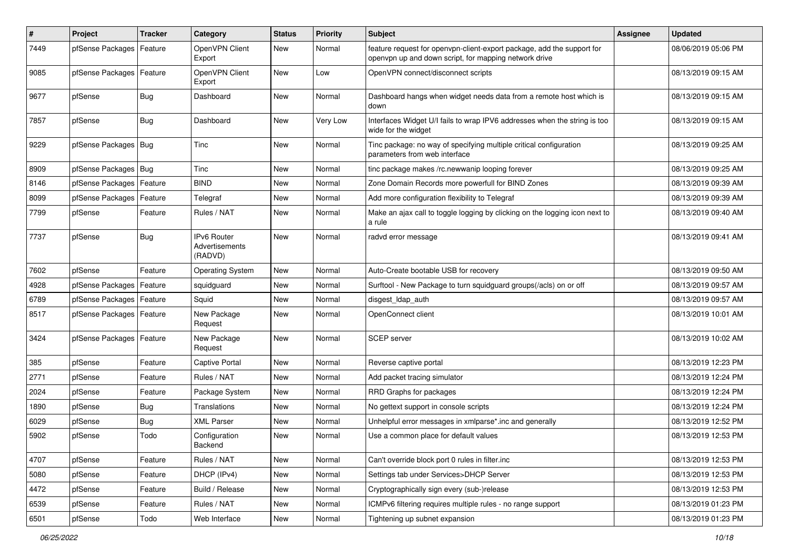| $\pmb{\#}$ | Project                    | <b>Tracker</b> | Category                                        | <b>Status</b> | <b>Priority</b> | <b>Subject</b>                                                                                                                  | <b>Assignee</b> | <b>Updated</b>      |
|------------|----------------------------|----------------|-------------------------------------------------|---------------|-----------------|---------------------------------------------------------------------------------------------------------------------------------|-----------------|---------------------|
| 7449       | pfSense Packages           | Feature        | OpenVPN Client<br>Export                        | New           | Normal          | feature request for openvpn-client-export package, add the support for<br>openvpn up and down script, for mapping network drive |                 | 08/06/2019 05:06 PM |
| 9085       | pfSense Packages           | Feature        | OpenVPN Client<br>Export                        | <b>New</b>    | Low             | OpenVPN connect/disconnect scripts                                                                                              |                 | 08/13/2019 09:15 AM |
| 9677       | pfSense                    | <b>Bug</b>     | Dashboard                                       | <b>New</b>    | Normal          | Dashboard hangs when widget needs data from a remote host which is<br>down                                                      |                 | 08/13/2019 09:15 AM |
| 7857       | pfSense                    | Bug            | Dashboard                                       | New           | Very Low        | Interfaces Widget U/I fails to wrap IPV6 addresses when the string is too<br>wide for the widget                                |                 | 08/13/2019 09:15 AM |
| 9229       | pfSense Packages   Bug     |                | Tinc                                            | <b>New</b>    | Normal          | Tinc package: no way of specifying multiple critical configuration<br>parameters from web interface                             |                 | 08/13/2019 09:25 AM |
| 8909       | pfSense Packages   Bug     |                | Tinc                                            | New           | Normal          | tinc package makes /rc.newwanip looping forever                                                                                 |                 | 08/13/2019 09:25 AM |
| 8146       | pfSense Packages           | Feature        | <b>BIND</b>                                     | New           | Normal          | Zone Domain Records more powerfull for BIND Zones                                                                               |                 | 08/13/2019 09:39 AM |
| 8099       | pfSense Packages           | Feature        | Telegraf                                        | <b>New</b>    | Normal          | Add more configuration flexibility to Telegraf                                                                                  |                 | 08/13/2019 09:39 AM |
| 7799       | pfSense                    | Feature        | Rules / NAT                                     | New           | Normal          | Make an ajax call to toggle logging by clicking on the logging icon next to<br>a rule                                           |                 | 08/13/2019 09:40 AM |
| 7737       | pfSense                    | <b>Bug</b>     | <b>IPv6 Router</b><br>Advertisements<br>(RADVD) | New           | Normal          | radvd error message                                                                                                             |                 | 08/13/2019 09:41 AM |
| 7602       | pfSense                    | Feature        | <b>Operating System</b>                         | <b>New</b>    | Normal          | Auto-Create bootable USB for recovery                                                                                           |                 | 08/13/2019 09:50 AM |
| 4928       | pfSense Packages           | Feature        | squidguard                                      | New           | Normal          | Surftool - New Package to turn squidguard groups(/acls) on or off                                                               |                 | 08/13/2019 09:57 AM |
| 6789       | pfSense Packages           | Feature        | Squid                                           | <b>New</b>    | Normal          | disgest_ldap_auth                                                                                                               |                 | 08/13/2019 09:57 AM |
| 8517       | pfSense Packages   Feature |                | New Package<br>Request                          | New           | Normal          | OpenConnect client                                                                                                              |                 | 08/13/2019 10:01 AM |
| 3424       | pfSense Packages   Feature |                | New Package<br>Request                          | New           | Normal          | SCEP server                                                                                                                     |                 | 08/13/2019 10:02 AM |
| 385        | pfSense                    | Feature        | Captive Portal                                  | <b>New</b>    | Normal          | Reverse captive portal                                                                                                          |                 | 08/13/2019 12:23 PM |
| 2771       | pfSense                    | Feature        | Rules / NAT                                     | New           | Normal          | Add packet tracing simulator                                                                                                    |                 | 08/13/2019 12:24 PM |
| 2024       | pfSense                    | Feature        | Package System                                  | New           | Normal          | RRD Graphs for packages                                                                                                         |                 | 08/13/2019 12:24 PM |
| 1890       | pfSense                    | <b>Bug</b>     | Translations                                    | <b>New</b>    | Normal          | No gettext support in console scripts                                                                                           |                 | 08/13/2019 12:24 PM |
| 6029       | pfSense                    | <b>Bug</b>     | XML Parser                                      | New           | Normal          | Unhelpful error messages in xmlparse*.inc and generally                                                                         |                 | 08/13/2019 12:52 PM |
| 5902       | pfSense                    | Todo           | Configuration<br>Backend                        | New           | Normal          | Use a common place for default values                                                                                           |                 | 08/13/2019 12:53 PM |
| 4707       | pfSense                    | Feature        | Rules / NAT                                     | New           | Normal          | Can't override block port 0 rules in filter.inc                                                                                 |                 | 08/13/2019 12:53 PM |
| 5080       | pfSense                    | Feature        | DHCP (IPv4)                                     | New           | Normal          | Settings tab under Services>DHCP Server                                                                                         |                 | 08/13/2019 12:53 PM |
| 4472       | pfSense                    | Feature        | Build / Release                                 | New           | Normal          | Cryptographically sign every (sub-)release                                                                                      |                 | 08/13/2019 12:53 PM |
| 6539       | pfSense                    | Feature        | Rules / NAT                                     | New           | Normal          | ICMPv6 filtering requires multiple rules - no range support                                                                     |                 | 08/13/2019 01:23 PM |
| 6501       | pfSense                    | Todo           | Web Interface                                   | New           | Normal          | Tightening up subnet expansion                                                                                                  |                 | 08/13/2019 01:23 PM |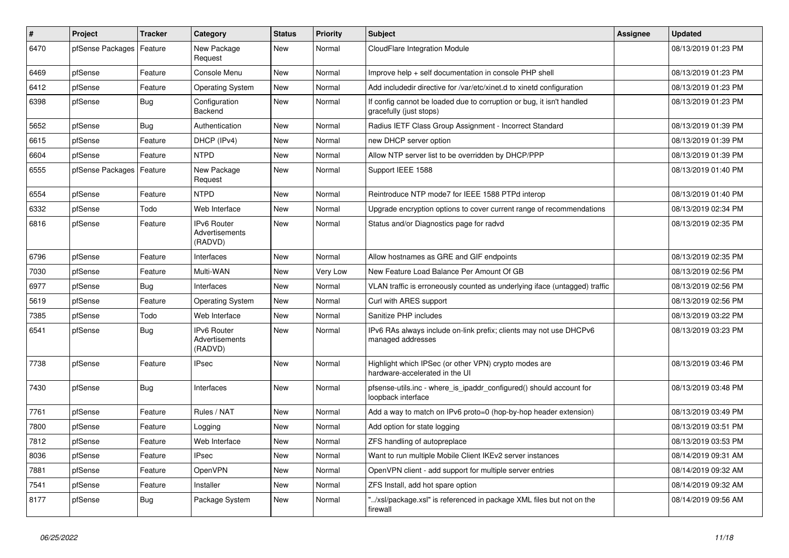| $\vert$ # | <b>Project</b>   | <b>Tracker</b> | Category                                 | <b>Status</b> | <b>Priority</b> | <b>Subject</b>                                                                                   | <b>Assignee</b> | <b>Updated</b>      |
|-----------|------------------|----------------|------------------------------------------|---------------|-----------------|--------------------------------------------------------------------------------------------------|-----------------|---------------------|
| 6470      | pfSense Packages | Feature        | New Package<br>Request                   | <b>New</b>    | Normal          | CloudFlare Integration Module                                                                    |                 | 08/13/2019 01:23 PM |
| 6469      | pfSense          | Feature        | Console Menu                             | <b>New</b>    | Normal          | Improve help + self documentation in console PHP shell                                           |                 | 08/13/2019 01:23 PM |
| 6412      | pfSense          | Feature        | <b>Operating System</b>                  | <b>New</b>    | Normal          | Add includedir directive for /var/etc/xinet.d to xinetd configuration                            |                 | 08/13/2019 01:23 PM |
| 6398      | pfSense          | <b>Bug</b>     | Configuration<br>Backend                 | <b>New</b>    | Normal          | If config cannot be loaded due to corruption or bug, it isn't handled<br>gracefully (just stops) |                 | 08/13/2019 01:23 PM |
| 5652      | pfSense          | Bug            | Authentication                           | <b>New</b>    | Normal          | Radius IETF Class Group Assignment - Incorrect Standard                                          |                 | 08/13/2019 01:39 PM |
| 6615      | pfSense          | Feature        | DHCP (IPv4)                              | <b>New</b>    | Normal          | new DHCP server option                                                                           |                 | 08/13/2019 01:39 PM |
| 6604      | pfSense          | Feature        | <b>NTPD</b>                              | <b>New</b>    | Normal          | Allow NTP server list to be overridden by DHCP/PPP                                               |                 | 08/13/2019 01:39 PM |
| 6555      | pfSense Packages | Feature        | New Package<br>Request                   | <b>New</b>    | Normal          | Support IEEE 1588                                                                                |                 | 08/13/2019 01:40 PM |
| 6554      | pfSense          | Feature        | <b>NTPD</b>                              | <b>New</b>    | Normal          | Reintroduce NTP mode7 for IEEE 1588 PTPd interop                                                 |                 | 08/13/2019 01:40 PM |
| 6332      | pfSense          | Todo           | Web Interface                            | <b>New</b>    | Normal          | Upgrade encryption options to cover current range of recommendations                             |                 | 08/13/2019 02:34 PM |
| 6816      | pfSense          | Feature        | IPv6 Router<br>Advertisements<br>(RADVD) | <b>New</b>    | Normal          | Status and/or Diagnostics page for radvd                                                         |                 | 08/13/2019 02:35 PM |
| 6796      | pfSense          | Feature        | Interfaces                               | <b>New</b>    | Normal          | Allow hostnames as GRE and GIF endpoints                                                         |                 | 08/13/2019 02:35 PM |
| 7030      | pfSense          | Feature        | Multi-WAN                                | <b>New</b>    | Very Low        | New Feature Load Balance Per Amount Of GB                                                        |                 | 08/13/2019 02:56 PM |
| 6977      | pfSense          | Bug            | Interfaces                               | <b>New</b>    | Normal          | VLAN traffic is erroneously counted as underlying iface (untagged) traffic                       |                 | 08/13/2019 02:56 PM |
| 5619      | pfSense          | Feature        | Operating System                         | New           | Normal          | Curl with ARES support                                                                           |                 | 08/13/2019 02:56 PM |
| 7385      | pfSense          | Todo           | Web Interface                            | <b>New</b>    | Normal          | Sanitize PHP includes                                                                            |                 | 08/13/2019 03:22 PM |
| 6541      | pfSense          | <b>Bug</b>     | IPv6 Router<br>Advertisements<br>(RADVD) | <b>New</b>    | Normal          | IPv6 RAs always include on-link prefix; clients may not use DHCPv6<br>managed addresses          |                 | 08/13/2019 03:23 PM |
| 7738      | pfSense          | Feature        | <b>IPsec</b>                             | <b>New</b>    | Normal          | Highlight which IPSec (or other VPN) crypto modes are<br>hardware-accelerated in the UI          |                 | 08/13/2019 03:46 PM |
| 7430      | pfSense          | Bug            | Interfaces                               | <b>New</b>    | Normal          | pfsense-utils.inc - where is ipaddr configured() should account for<br>loopback interface        |                 | 08/13/2019 03:48 PM |
| 7761      | pfSense          | Feature        | Rules / NAT                              | <b>New</b>    | Normal          | Add a way to match on IPv6 proto=0 (hop-by-hop header extension)                                 |                 | 08/13/2019 03:49 PM |
| 7800      | pfSense          | Feature        | Logging                                  | <b>New</b>    | Normal          | Add option for state logging                                                                     |                 | 08/13/2019 03:51 PM |
| 7812      | pfSense          | Feature        | Web Interface                            | <b>New</b>    | Normal          | ZFS handling of autopreplace                                                                     |                 | 08/13/2019 03:53 PM |
| 8036      | pfSense          | Feature        | IPsec                                    | <b>New</b>    | Normal          | Want to run multiple Mobile Client IKEv2 server instances                                        |                 | 08/14/2019 09:31 AM |
| 7881      | pfSense          | Feature        | OpenVPN                                  | <b>New</b>    | Normal          | OpenVPN client - add support for multiple server entries                                         |                 | 08/14/2019 09:32 AM |
| 7541      | pfSense          | Feature        | Installer                                | <b>New</b>    | Normal          | ZFS Install, add hot spare option                                                                |                 | 08/14/2019 09:32 AM |
| 8177      | pfSense          | <b>Bug</b>     | Package System                           | <b>New</b>    | Normal          | '/xsl/package.xsl" is referenced in package XML files but not on the<br>firewall                 |                 | 08/14/2019 09:56 AM |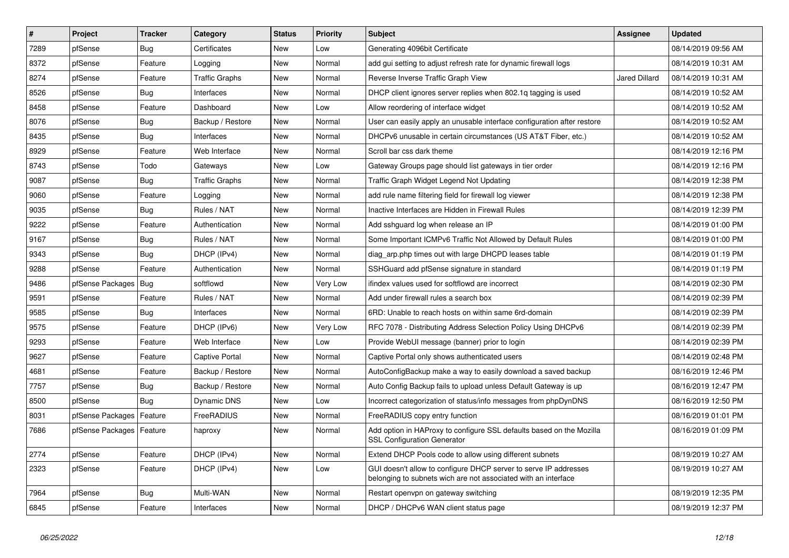| $\sharp$ | Project                    | <b>Tracker</b> | Category              | <b>Status</b> | Priority | <b>Subject</b>                                                                                                                     | Assignee             | <b>Updated</b>      |
|----------|----------------------------|----------------|-----------------------|---------------|----------|------------------------------------------------------------------------------------------------------------------------------------|----------------------|---------------------|
| 7289     | pfSense                    | Bug            | Certificates          | <b>New</b>    | Low      | Generating 4096bit Certificate                                                                                                     |                      | 08/14/2019 09:56 AM |
| 8372     | pfSense                    | Feature        | Logging               | <b>New</b>    | Normal   | add gui setting to adjust refresh rate for dynamic firewall logs                                                                   |                      | 08/14/2019 10:31 AM |
| 8274     | pfSense                    | Feature        | Traffic Graphs        | New           | Normal   | Reverse Inverse Traffic Graph View                                                                                                 | <b>Jared Dillard</b> | 08/14/2019 10:31 AM |
| 8526     | pfSense                    | <b>Bug</b>     | Interfaces            | <b>New</b>    | Normal   | DHCP client ignores server replies when 802.1q tagging is used                                                                     |                      | 08/14/2019 10:52 AM |
| 8458     | pfSense                    | Feature        | Dashboard             | <b>New</b>    | Low      | Allow reordering of interface widget                                                                                               |                      | 08/14/2019 10:52 AM |
| 8076     | pfSense                    | <b>Bug</b>     | Backup / Restore      | <b>New</b>    | Normal   | User can easily apply an unusable interface configuration after restore                                                            |                      | 08/14/2019 10:52 AM |
| 8435     | pfSense                    | <b>Bug</b>     | Interfaces            | <b>New</b>    | Normal   | DHCPv6 unusable in certain circumstances (US AT&T Fiber, etc.)                                                                     |                      | 08/14/2019 10:52 AM |
| 8929     | pfSense                    | Feature        | Web Interface         | <b>New</b>    | Normal   | Scroll bar css dark theme                                                                                                          |                      | 08/14/2019 12:16 PM |
| 8743     | pfSense                    | Todo           | Gateways              | <b>New</b>    | Low      | Gateway Groups page should list gateways in tier order                                                                             |                      | 08/14/2019 12:16 PM |
| 9087     | pfSense                    | Bug            | <b>Traffic Graphs</b> | <b>New</b>    | Normal   | Traffic Graph Widget Legend Not Updating                                                                                           |                      | 08/14/2019 12:38 PM |
| 9060     | pfSense                    | Feature        | Logging               | New           | Normal   | add rule name filtering field for firewall log viewer                                                                              |                      | 08/14/2019 12:38 PM |
| 9035     | pfSense                    | Bug            | Rules / NAT           | <b>New</b>    | Normal   | Inactive Interfaces are Hidden in Firewall Rules                                                                                   |                      | 08/14/2019 12:39 PM |
| 9222     | pfSense                    | Feature        | Authentication        | <b>New</b>    | Normal   | Add sshguard log when release an IP                                                                                                |                      | 08/14/2019 01:00 PM |
| 9167     | pfSense                    | <b>Bug</b>     | Rules / NAT           | <b>New</b>    | Normal   | Some Important ICMPv6 Traffic Not Allowed by Default Rules                                                                         |                      | 08/14/2019 01:00 PM |
| 9343     | pfSense                    | Bug            | DHCP (IPv4)           | <b>New</b>    | Normal   | diag_arp.php times out with large DHCPD leases table                                                                               |                      | 08/14/2019 01:19 PM |
| 9288     | pfSense                    | Feature        | Authentication        | <b>New</b>    | Normal   | SSHGuard add pfSense signature in standard                                                                                         |                      | 08/14/2019 01:19 PM |
| 9486     | pfSense Packages           | Bug            | softflowd             | <b>New</b>    | Very Low | ifindex values used for softflowd are incorrect                                                                                    |                      | 08/14/2019 02:30 PM |
| 9591     | pfSense                    | Feature        | Rules / NAT           | <b>New</b>    | Normal   | Add under firewall rules a search box                                                                                              |                      | 08/14/2019 02:39 PM |
| 9585     | pfSense                    | Bug            | Interfaces            | <b>New</b>    | Normal   | 6RD: Unable to reach hosts on within same 6rd-domain                                                                               |                      | 08/14/2019 02:39 PM |
| 9575     | pfSense                    | Feature        | DHCP (IPv6)           | New           | Very Low | RFC 7078 - Distributing Address Selection Policy Using DHCPv6                                                                      |                      | 08/14/2019 02:39 PM |
| 9293     | pfSense                    | Feature        | Web Interface         | <b>New</b>    | Low      | Provide WebUI message (banner) prior to login                                                                                      |                      | 08/14/2019 02:39 PM |
| 9627     | pfSense                    | Feature        | <b>Captive Portal</b> | <b>New</b>    | Normal   | Captive Portal only shows authenticated users                                                                                      |                      | 08/14/2019 02:48 PM |
| 4681     | pfSense                    | Feature        | Backup / Restore      | <b>New</b>    | Normal   | AutoConfigBackup make a way to easily download a saved backup                                                                      |                      | 08/16/2019 12:46 PM |
| 7757     | pfSense                    | Bug            | Backup / Restore      | New           | Normal   | Auto Config Backup fails to upload unless Default Gateway is up                                                                    |                      | 08/16/2019 12:47 PM |
| 8500     | pfSense                    | <b>Bug</b>     | Dynamic DNS           | <b>New</b>    | Low      | Incorrect categorization of status/info messages from phpDynDNS                                                                    |                      | 08/16/2019 12:50 PM |
| 8031     | pfSense Packages           | Feature        | FreeRADIUS            | <b>New</b>    | Normal   | FreeRADIUS copy entry function                                                                                                     |                      | 08/16/2019 01:01 PM |
| 7686     | pfSense Packages   Feature |                | haproxy               | <b>New</b>    | Normal   | Add option in HAProxy to configure SSL defaults based on the Mozilla<br><b>SSL Configuration Generator</b>                         |                      | 08/16/2019 01:09 PM |
| 2774     | pfSense                    | Feature        | DHCP (IPv4)           | <b>New</b>    | Normal   | Extend DHCP Pools code to allow using different subnets                                                                            |                      | 08/19/2019 10:27 AM |
| 2323     | pfSense                    | Feature        | DHCP (IPv4)           | <b>New</b>    | Low      | GUI doesn't allow to configure DHCP server to serve IP addresses<br>belonging to subnets wich are not associated with an interface |                      | 08/19/2019 10:27 AM |
| 7964     | pfSense                    | <b>Bug</b>     | Multi-WAN             | <b>New</b>    | Normal   | Restart openvpn on gateway switching                                                                                               |                      | 08/19/2019 12:35 PM |
| 6845     | pfSense                    | Feature        | Interfaces            | <b>New</b>    | Normal   | DHCP / DHCPv6 WAN client status page                                                                                               |                      | 08/19/2019 12:37 PM |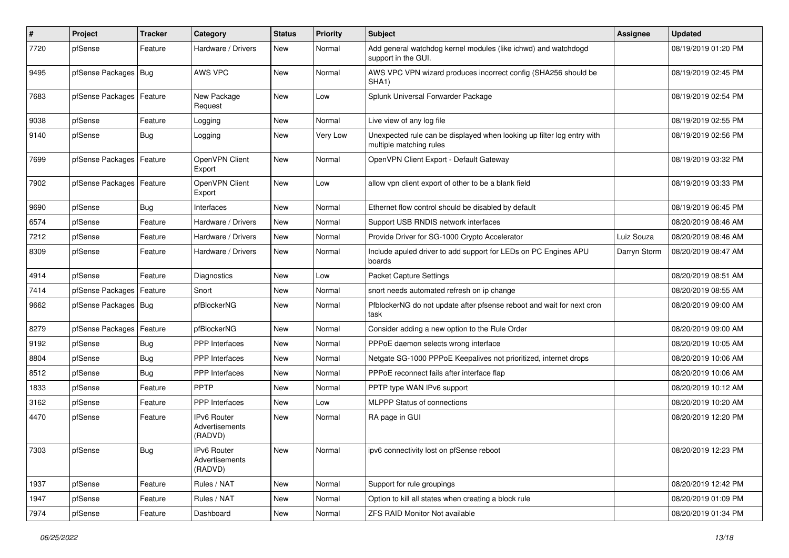| ∦    | Project                    | <b>Tracker</b> | Category                                 | <b>Status</b> | <b>Priority</b> | <b>Subject</b>                                                                                    | Assignee     | <b>Updated</b>      |
|------|----------------------------|----------------|------------------------------------------|---------------|-----------------|---------------------------------------------------------------------------------------------------|--------------|---------------------|
| 7720 | pfSense                    | Feature        | Hardware / Drivers                       | New           | Normal          | Add general watchdog kernel modules (like ichwd) and watchdogd<br>support in the GUI.             |              | 08/19/2019 01:20 PM |
| 9495 | pfSense Packages           | <b>Bug</b>     | AWS VPC                                  | <b>New</b>    | Normal          | AWS VPC VPN wizard produces incorrect config (SHA256 should be<br>SHA <sub>1</sub> )              |              | 08/19/2019 02:45 PM |
| 7683 | pfSense Packages   Feature |                | New Package<br>Request                   | <b>New</b>    | Low             | Splunk Universal Forwarder Package                                                                |              | 08/19/2019 02:54 PM |
| 9038 | pfSense                    | Feature        | Logging                                  | <b>New</b>    | Normal          | Live view of any log file                                                                         |              | 08/19/2019 02:55 PM |
| 9140 | pfSense                    | Bug            | Logging                                  | <b>New</b>    | Very Low        | Unexpected rule can be displayed when looking up filter log entry with<br>multiple matching rules |              | 08/19/2019 02:56 PM |
| 7699 | pfSense Packages           | Feature        | OpenVPN Client<br>Export                 | <b>New</b>    | Normal          | OpenVPN Client Export - Default Gateway                                                           |              | 08/19/2019 03:32 PM |
| 7902 | pfSense Packages   Feature |                | OpenVPN Client<br>Export                 | <b>New</b>    | Low             | allow vpn client export of other to be a blank field                                              |              | 08/19/2019 03:33 PM |
| 9690 | pfSense                    | Bug            | Interfaces                               | <b>New</b>    | Normal          | Ethernet flow control should be disabled by default                                               |              | 08/19/2019 06:45 PM |
| 6574 | pfSense                    | Feature        | Hardware / Drivers                       | <b>New</b>    | Normal          | Support USB RNDIS network interfaces                                                              |              | 08/20/2019 08:46 AM |
| 7212 | pfSense                    | Feature        | Hardware / Drivers                       | New           | Normal          | Provide Driver for SG-1000 Crypto Accelerator                                                     | Luiz Souza   | 08/20/2019 08:46 AM |
| 8309 | pfSense                    | Feature        | Hardware / Drivers                       | <b>New</b>    | Normal          | Include apuled driver to add support for LEDs on PC Engines APU<br>boards                         | Darryn Storm | 08/20/2019 08:47 AM |
| 4914 | pfSense                    | Feature        | Diagnostics                              | New           | Low             | <b>Packet Capture Settings</b>                                                                    |              | 08/20/2019 08:51 AM |
| 7414 | pfSense Packages           | Feature        | Snort                                    | <b>New</b>    | Normal          | snort needs automated refresh on ip change                                                        |              | 08/20/2019 08:55 AM |
| 9662 | pfSense Packages   Bug     |                | pfBlockerNG                              | <b>New</b>    | Normal          | PfblockerNG do not update after pfsense reboot and wait for next cron<br>task                     |              | 08/20/2019 09:00 AM |
| 8279 | pfSense Packages           | Feature        | pfBlockerNG                              | <b>New</b>    | Normal          | Consider adding a new option to the Rule Order                                                    |              | 08/20/2019 09:00 AM |
| 9192 | pfSense                    | Bug            | PPP Interfaces                           | <b>New</b>    | Normal          | PPPoE daemon selects wrong interface                                                              |              | 08/20/2019 10:05 AM |
| 8804 | pfSense                    | Bug            | <b>PPP</b> Interfaces                    | New           | Normal          | Netgate SG-1000 PPPoE Keepalives not prioritized, internet drops                                  |              | 08/20/2019 10:06 AM |
| 8512 | pfSense                    | Bug            | PPP Interfaces                           | New           | Normal          | PPPoE reconnect fails after interface flap                                                        |              | 08/20/2019 10:06 AM |
| 1833 | pfSense                    | Feature        | PPTP                                     | New           | Normal          | PPTP type WAN IPv6 support                                                                        |              | 08/20/2019 10:12 AM |
| 3162 | pfSense                    | Feature        | <b>PPP</b> Interfaces                    | <b>New</b>    | Low             | <b>MLPPP Status of connections</b>                                                                |              | 08/20/2019 10:20 AM |
| 4470 | pfSense                    | Feature        | IPv6 Router<br>Advertisements<br>(RADVD) | <b>New</b>    | Normal          | RA page in GUI                                                                                    |              | 08/20/2019 12:20 PM |
| 7303 | pfSense                    | <b>Bug</b>     | IPv6 Router<br>Advertisements<br>(RADVD) | New           | Normal          | ipv6 connectivity lost on pfSense reboot                                                          |              | 08/20/2019 12:23 PM |
| 1937 | pfSense                    | Feature        | Rules / NAT                              | New           | Normal          | Support for rule groupings                                                                        |              | 08/20/2019 12:42 PM |
| 1947 | pfSense                    | Feature        | Rules / NAT                              | New           | Normal          | Option to kill all states when creating a block rule                                              |              | 08/20/2019 01:09 PM |
| 7974 | pfSense                    | Feature        | Dashboard                                | New           | Normal          | <b>ZFS RAID Monitor Not available</b>                                                             |              | 08/20/2019 01:34 PM |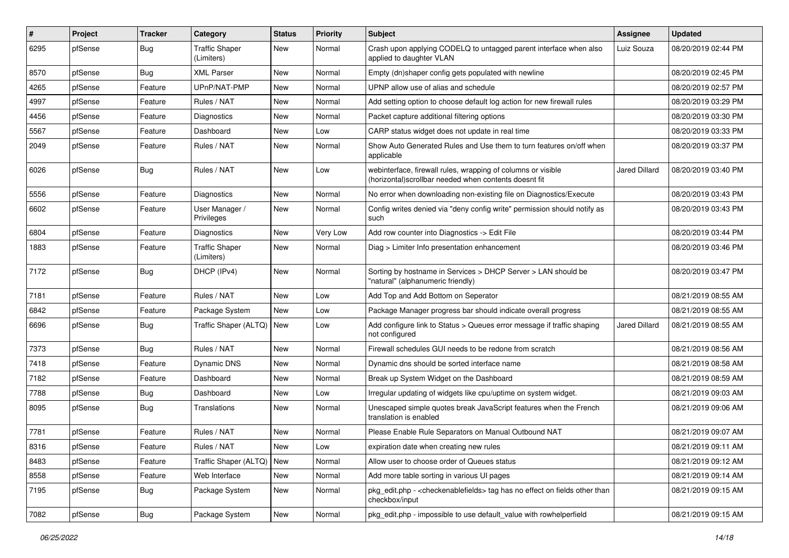| #    | Project | <b>Tracker</b> | Category                            | <b>Status</b> | <b>Priority</b> | <b>Subject</b>                                                                                                         | Assignee      | <b>Updated</b>      |
|------|---------|----------------|-------------------------------------|---------------|-----------------|------------------------------------------------------------------------------------------------------------------------|---------------|---------------------|
| 6295 | pfSense | Bug            | <b>Traffic Shaper</b><br>(Limiters) | <b>New</b>    | Normal          | Crash upon applying CODELQ to untagged parent interface when also<br>applied to daughter VLAN                          | Luiz Souza    | 08/20/2019 02:44 PM |
| 8570 | pfSense | Bug            | <b>XML Parser</b>                   | <b>New</b>    | Normal          | Empty (dn)shaper config gets populated with newline                                                                    |               | 08/20/2019 02:45 PM |
| 4265 | pfSense | Feature        | UPnP/NAT-PMP                        | <b>New</b>    | Normal          | UPNP allow use of alias and schedule                                                                                   |               | 08/20/2019 02:57 PM |
| 4997 | pfSense | Feature        | Rules / NAT                         | New           | Normal          | Add setting option to choose default log action for new firewall rules                                                 |               | 08/20/2019 03:29 PM |
| 4456 | pfSense | Feature        | Diagnostics                         | <b>New</b>    | Normal          | Packet capture additional filtering options                                                                            |               | 08/20/2019 03:30 PM |
| 5567 | pfSense | Feature        | Dashboard                           | <b>New</b>    | Low             | CARP status widget does not update in real time                                                                        |               | 08/20/2019 03:33 PM |
| 2049 | pfSense | Feature        | Rules / NAT                         | New           | Normal          | Show Auto Generated Rules and Use them to turn features on/off when<br>applicable                                      |               | 08/20/2019 03:37 PM |
| 6026 | pfSense | Bug            | Rules / NAT                         | New           | Low             | webinterface, firewall rules, wrapping of columns or visible<br>(horizontal) scrollbar needed when contents doesnt fit | Jared Dillard | 08/20/2019 03:40 PM |
| 5556 | pfSense | Feature        | Diagnostics                         | <b>New</b>    | Normal          | No error when downloading non-existing file on Diagnostics/Execute                                                     |               | 08/20/2019 03:43 PM |
| 6602 | pfSense | Feature        | User Manager /<br>Privileges        | <b>New</b>    | Normal          | Config writes denied via "deny config write" permission should notify as<br>such                                       |               | 08/20/2019 03:43 PM |
| 6804 | pfSense | Feature        | Diagnostics                         | New           | Very Low        | Add row counter into Diagnostics -> Edit File                                                                          |               | 08/20/2019 03:44 PM |
| 1883 | pfSense | Feature        | <b>Traffic Shaper</b><br>(Limiters) | New           | Normal          | Diag > Limiter Info presentation enhancement                                                                           |               | 08/20/2019 03:46 PM |
| 7172 | pfSense | Bug            | DHCP (IPv4)                         | New           | Normal          | Sorting by hostname in Services > DHCP Server > LAN should be<br>"natural" (alphanumeric friendly)                     |               | 08/20/2019 03:47 PM |
| 7181 | pfSense | Feature        | Rules / NAT                         | <b>New</b>    | Low             | Add Top and Add Bottom on Seperator                                                                                    |               | 08/21/2019 08:55 AM |
| 6842 | pfSense | Feature        | Package System                      | <b>New</b>    | Low             | Package Manager progress bar should indicate overall progress                                                          |               | 08/21/2019 08:55 AM |
| 6696 | pfSense | Bug            | Traffic Shaper (ALTQ)               | <b>New</b>    | Low             | Add configure link to Status > Queues error message if traffic shaping<br>not configured                               | Jared Dillard | 08/21/2019 08:55 AM |
| 7373 | pfSense | <b>Bug</b>     | Rules / NAT                         | <b>New</b>    | Normal          | Firewall schedules GUI needs to be redone from scratch                                                                 |               | 08/21/2019 08:56 AM |
| 7418 | pfSense | Feature        | Dynamic DNS                         | <b>New</b>    | Normal          | Dynamic dns should be sorted interface name                                                                            |               | 08/21/2019 08:58 AM |
| 7182 | pfSense | Feature        | Dashboard                           | New           | Normal          | Break up System Widget on the Dashboard                                                                                |               | 08/21/2019 08:59 AM |
| 7788 | pfSense | <b>Bug</b>     | Dashboard                           | <b>New</b>    | Low             | Irregular updating of widgets like cpu/uptime on system widget.                                                        |               | 08/21/2019 09:03 AM |
| 8095 | pfSense | <b>Bug</b>     | Translations                        | New           | Normal          | Unescaped simple quotes break JavaScript features when the French<br>translation is enabled                            |               | 08/21/2019 09:06 AM |
| 7781 | pfSense | Feature        | Rules / NAT                         | <b>New</b>    | Normal          | Please Enable Rule Separators on Manual Outbound NAT                                                                   |               | 08/21/2019 09:07 AM |
| 8316 | pfSense | Feature        | Rules / NAT                         | New           | LOW             | expiration date when creating new rules                                                                                |               | 08/21/2019 09:11 AM |
| 8483 | pfSense | Feature        | Traffic Shaper (ALTQ)               | New           | Normal          | Allow user to choose order of Queues status                                                                            |               | 08/21/2019 09:12 AM |
| 8558 | pfSense | Feature        | Web Interface                       | New           | Normal          | Add more table sorting in various UI pages                                                                             |               | 08/21/2019 09:14 AM |
| 7195 | pfSense | <b>Bug</b>     | Package System                      | New           | Normal          | pkg edit.php - < checkenable fields > tag has no effect on fields other than<br>checkbox/input                         |               | 08/21/2019 09:15 AM |
| 7082 | pfSense | Bug            | Package System                      | New           | Normal          | pkg edit.php - impossible to use default value with rowhelperfield                                                     |               | 08/21/2019 09:15 AM |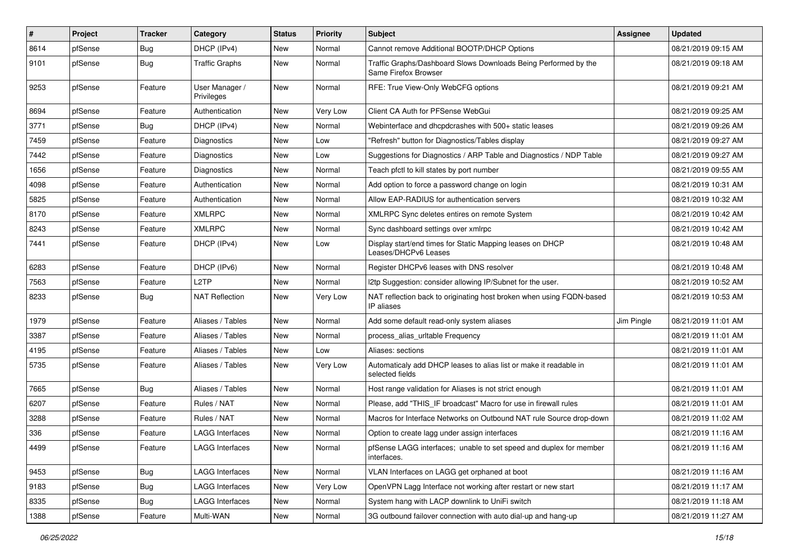| #    | Project | <b>Tracker</b> | Category                     | <b>Status</b> | <b>Priority</b> | <b>Subject</b>                                                                          | Assignee   | <b>Updated</b>      |
|------|---------|----------------|------------------------------|---------------|-----------------|-----------------------------------------------------------------------------------------|------------|---------------------|
| 8614 | pfSense | <b>Bug</b>     | DHCP (IPv4)                  | <b>New</b>    | Normal          | Cannot remove Additional BOOTP/DHCP Options                                             |            | 08/21/2019 09:15 AM |
| 9101 | pfSense | Bug            | Traffic Graphs               | <b>New</b>    | Normal          | Traffic Graphs/Dashboard Slows Downloads Being Performed by the<br>Same Firefox Browser |            | 08/21/2019 09:18 AM |
| 9253 | pfSense | Feature        | User Manager /<br>Privileges | <b>New</b>    | Normal          | RFE: True View-Only WebCFG options                                                      |            | 08/21/2019 09:21 AM |
| 8694 | pfSense | Feature        | Authentication               | New           | Very Low        | Client CA Auth for PFSense WebGui                                                       |            | 08/21/2019 09:25 AM |
| 3771 | pfSense | Bug            | DHCP (IPv4)                  | <b>New</b>    | Normal          | Webinterface and dhcpdcrashes with 500+ static leases                                   |            | 08/21/2019 09:26 AM |
| 7459 | pfSense | Feature        | Diagnostics                  | <b>New</b>    | Low             | 'Refresh" button for Diagnostics/Tables display                                         |            | 08/21/2019 09:27 AM |
| 7442 | pfSense | Feature        | <b>Diagnostics</b>           | New           | Low             | Suggestions for Diagnostics / ARP Table and Diagnostics / NDP Table                     |            | 08/21/2019 09:27 AM |
| 1656 | pfSense | Feature        | Diagnostics                  | <b>New</b>    | Normal          | Teach pfctl to kill states by port number                                               |            | 08/21/2019 09:55 AM |
| 4098 | pfSense | Feature        | Authentication               | <b>New</b>    | Normal          | Add option to force a password change on login                                          |            | 08/21/2019 10:31 AM |
| 5825 | pfSense | Feature        | Authentication               | <b>New</b>    | Normal          | Allow EAP-RADIUS for authentication servers                                             |            | 08/21/2019 10:32 AM |
| 8170 | pfSense | Feature        | <b>XMLRPC</b>                | <b>New</b>    | Normal          | XMLRPC Sync deletes entires on remote System                                            |            | 08/21/2019 10:42 AM |
| 8243 | pfSense | Feature        | <b>XMLRPC</b>                | <b>New</b>    | Normal          | Sync dashboard settings over xmlrpc                                                     |            | 08/21/2019 10:42 AM |
| 7441 | pfSense | Feature        | DHCP (IPv4)                  | <b>New</b>    | Low             | Display start/end times for Static Mapping leases on DHCP<br>Leases/DHCPv6 Leases       |            | 08/21/2019 10:48 AM |
| 6283 | pfSense | Feature        | DHCP (IPv6)                  | <b>New</b>    | Normal          | Register DHCPv6 leases with DNS resolver                                                |            | 08/21/2019 10:48 AM |
| 7563 | pfSense | Feature        | L <sub>2</sub> TP            | <b>New</b>    | Normal          | I2tp Suggestion: consider allowing IP/Subnet for the user.                              |            | 08/21/2019 10:52 AM |
| 8233 | pfSense | Bug            | <b>NAT Reflection</b>        | New           | Very Low        | NAT reflection back to originating host broken when using FQDN-based<br>IP aliases      |            | 08/21/2019 10:53 AM |
| 1979 | pfSense | Feature        | Aliases / Tables             | <b>New</b>    | Normal          | Add some default read-only system aliases                                               | Jim Pingle | 08/21/2019 11:01 AM |
| 3387 | pfSense | Feature        | Aliases / Tables             | <b>New</b>    | Normal          | process alias urltable Frequency                                                        |            | 08/21/2019 11:01 AM |
| 4195 | pfSense | Feature        | Aliases / Tables             | <b>New</b>    | Low             | Aliases: sections                                                                       |            | 08/21/2019 11:01 AM |
| 5735 | pfSense | Feature        | Aliases / Tables             | New           | Very Low        | Automaticaly add DHCP leases to alias list or make it readable in<br>selected fields    |            | 08/21/2019 11:01 AM |
| 7665 | pfSense | <b>Bug</b>     | Aliases / Tables             | <b>New</b>    | Normal          | Host range validation for Aliases is not strict enough                                  |            | 08/21/2019 11:01 AM |
| 6207 | pfSense | Feature        | Rules / NAT                  | <b>New</b>    | Normal          | Please, add "THIS_IF broadcast" Macro for use in firewall rules                         |            | 08/21/2019 11:01 AM |
| 3288 | pfSense | Feature        | Rules / NAT                  | <b>New</b>    | Normal          | Macros for Interface Networks on Outbound NAT rule Source drop-down                     |            | 08/21/2019 11:02 AM |
| 336  | pfSense | Feature        | <b>LAGG Interfaces</b>       | New           | Normal          | Option to create lagg under assign interfaces                                           |            | 08/21/2019 11:16 AM |
| 4499 | ptSense | Feature        | LAGG Interfaces              | New           | Normal          | pfSense LAGG interfaces; unable to set speed and duplex for member<br>interfaces.       |            | 08/21/2019 11:16 AM |
| 9453 | pfSense | <b>Bug</b>     | <b>LAGG Interfaces</b>       | New           | Normal          | VLAN Interfaces on LAGG get orphaned at boot                                            |            | 08/21/2019 11:16 AM |
| 9183 | pfSense | <b>Bug</b>     | LAGG Interfaces              | New           | Very Low        | OpenVPN Lagg Interface not working after restart or new start                           |            | 08/21/2019 11:17 AM |
| 8335 | pfSense | <b>Bug</b>     | LAGG Interfaces              | New           | Normal          | System hang with LACP downlink to UniFi switch                                          |            | 08/21/2019 11:18 AM |
| 1388 | pfSense | Feature        | Multi-WAN                    | New           | Normal          | 3G outbound failover connection with auto dial-up and hang-up                           |            | 08/21/2019 11:27 AM |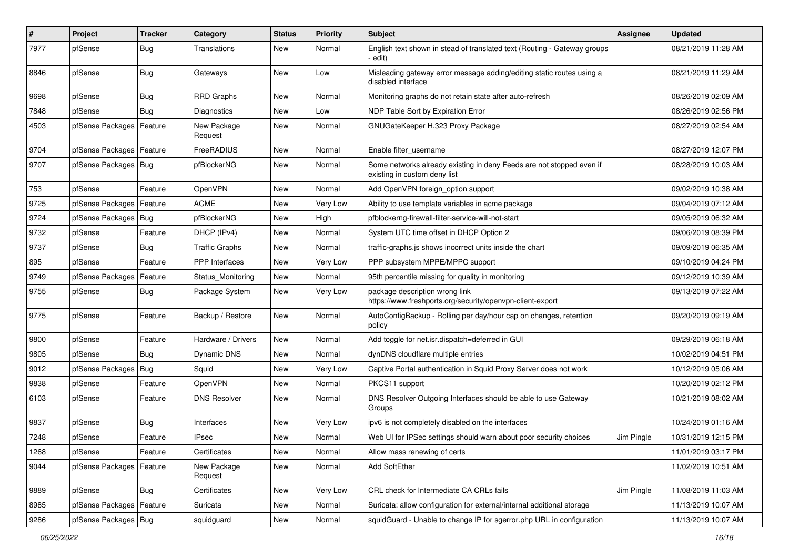| $\pmb{\#}$ | Project                | <b>Tracker</b> | Category               | <b>Status</b> | <b>Priority</b> | <b>Subject</b>                                                                                       | <b>Assignee</b> | <b>Updated</b>      |
|------------|------------------------|----------------|------------------------|---------------|-----------------|------------------------------------------------------------------------------------------------------|-----------------|---------------------|
| 7977       | pfSense                | <b>Bug</b>     | Translations           | New           | Normal          | English text shown in stead of translated text (Routing - Gateway groups<br>· edit)                  |                 | 08/21/2019 11:28 AM |
| 8846       | pfSense                | <b>Bug</b>     | Gateways               | New           | Low             | Misleading gateway error message adding/editing static routes using a<br>disabled interface          |                 | 08/21/2019 11:29 AM |
| 9698       | pfSense                | <b>Bug</b>     | <b>RRD Graphs</b>      | <b>New</b>    | Normal          | Monitoring graphs do not retain state after auto-refresh                                             |                 | 08/26/2019 02:09 AM |
| 7848       | pfSense                | <b>Bug</b>     | <b>Diagnostics</b>     | New           | Low             | NDP Table Sort by Expiration Error                                                                   |                 | 08/26/2019 02:56 PM |
| 4503       | pfSense Packages       | Feature        | New Package<br>Request | New           | Normal          | GNUGateKeeper H.323 Proxy Package                                                                    |                 | 08/27/2019 02:54 AM |
| 9704       | pfSense Packages       | Feature        | FreeRADIUS             | <b>New</b>    | Normal          | Enable filter_username                                                                               |                 | 08/27/2019 12:07 PM |
| 9707       | pfSense Packages   Bug |                | pfBlockerNG            | <b>New</b>    | Normal          | Some networks already existing in deny Feeds are not stopped even if<br>existing in custom deny list |                 | 08/28/2019 10:03 AM |
| 753        | pfSense                | Feature        | OpenVPN                | <b>New</b>    | Normal          | Add OpenVPN foreign_option support                                                                   |                 | 09/02/2019 10:38 AM |
| 9725       | pfSense Packages       | Feature        | <b>ACME</b>            | <b>New</b>    | Very Low        | Ability to use template variables in acme package                                                    |                 | 09/04/2019 07:12 AM |
| 9724       | pfSense Packages       | <b>Bug</b>     | pfBlockerNG            | New           | High            | pfblockerng-firewall-filter-service-will-not-start                                                   |                 | 09/05/2019 06:32 AM |
| 9732       | pfSense                | Feature        | DHCP (IPv4)            | <b>New</b>    | Normal          | System UTC time offset in DHCP Option 2                                                              |                 | 09/06/2019 08:39 PM |
| 9737       | pfSense                | Bug            | <b>Traffic Graphs</b>  | New           | Normal          | traffic-graphs is shows incorrect units inside the chart                                             |                 | 09/09/2019 06:35 AM |
| 895        | pfSense                | Feature        | <b>PPP</b> Interfaces  | <b>New</b>    | Very Low        | PPP subsystem MPPE/MPPC support                                                                      |                 | 09/10/2019 04:24 PM |
| 9749       | pfSense Packages       | Feature        | Status Monitoring      | <b>New</b>    | Normal          | 95th percentile missing for quality in monitoring                                                    |                 | 09/12/2019 10:39 AM |
| 9755       | pfSense                | Bug            | Package System         | New           | Very Low        | package description wrong link<br>https://www.freshports.org/security/openvpn-client-export          |                 | 09/13/2019 07:22 AM |
| 9775       | pfSense                | Feature        | Backup / Restore       | <b>New</b>    | Normal          | AutoConfigBackup - Rolling per day/hour cap on changes, retention<br>policy                          |                 | 09/20/2019 09:19 AM |
| 9800       | pfSense                | Feature        | Hardware / Drivers     | <b>New</b>    | Normal          | Add toggle for net.isr.dispatch=deferred in GUI                                                      |                 | 09/29/2019 06:18 AM |
| 9805       | pfSense                | Bug            | Dynamic DNS            | New           | Normal          | dynDNS cloudflare multiple entries                                                                   |                 | 10/02/2019 04:51 PM |
| 9012       | pfSense Packages       | Bug            | Squid                  | New           | Very Low        | Captive Portal authentication in Squid Proxy Server does not work                                    |                 | 10/12/2019 05:06 AM |
| 9838       | pfSense                | Feature        | OpenVPN                | <b>New</b>    | Normal          | PKCS11 support                                                                                       |                 | 10/20/2019 02:12 PM |
| 6103       | pfSense                | Feature        | <b>DNS Resolver</b>    | New           | Normal          | DNS Resolver Outgoing Interfaces should be able to use Gateway<br>Groups                             |                 | 10/21/2019 08:02 AM |
| 9837       | pfSense                | <b>Bug</b>     | Interfaces             | <b>New</b>    | Very Low        | ipv6 is not completely disabled on the interfaces                                                    |                 | 10/24/2019 01:16 AM |
| 7248       | pfSense                | Feature        | <b>IPsec</b>           | New           | Normal          | Web UI for IPSec settings should warn about poor security choices                                    | Jim Pingle      | 10/31/2019 12:15 PM |
| 1268       | pfSense                | Feature        | Certificates           | New           | Normal          | Allow mass renewing of certs                                                                         |                 | 11/01/2019 03:17 PM |
| 9044       | pfSense Packages       | Feature        | New Package<br>Request | New           | Normal          | Add SoftEther                                                                                        |                 | 11/02/2019 10:51 AM |
| 9889       | pfSense                | Bug            | Certificates           | <b>New</b>    | Very Low        | CRL check for Intermediate CA CRLs fails                                                             | Jim Pingle      | 11/08/2019 11:03 AM |
| 8985       | pfSense Packages       | Feature        | Suricata               | New           | Normal          | Suricata: allow configuration for external/internal additional storage                               |                 | 11/13/2019 10:07 AM |
| 9286       | pfSense Packages   Bug |                | squidguard             | New           | Normal          | squidGuard - Unable to change IP for sgerror.php URL in configuration                                |                 | 11/13/2019 10:07 AM |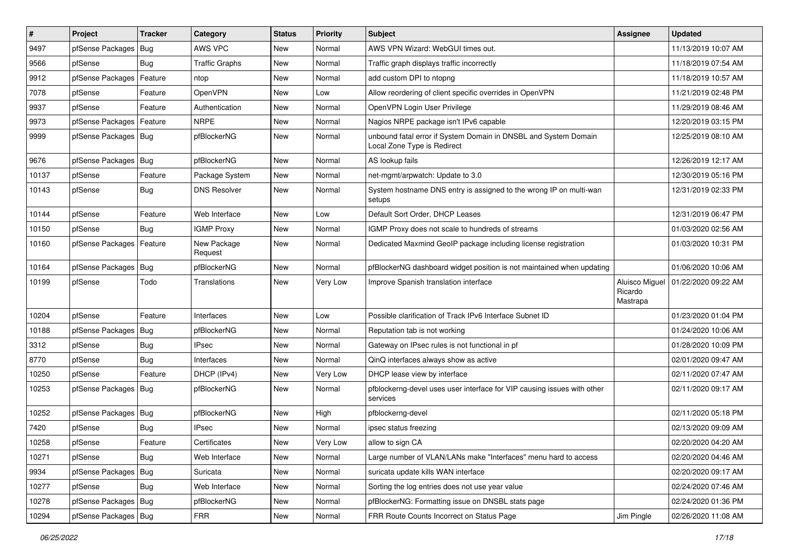| $\vert$ # | Project                    | <b>Tracker</b> | Category               | <b>Status</b> | <b>Priority</b> | <b>Subject</b>                                                                                 | Assignee                              | <b>Updated</b>      |
|-----------|----------------------------|----------------|------------------------|---------------|-----------------|------------------------------------------------------------------------------------------------|---------------------------------------|---------------------|
| 9497      | pfSense Packages           | Bug            | AWS VPC                | New           | Normal          | AWS VPN Wizard: WebGUI times out.                                                              |                                       | 11/13/2019 10:07 AM |
| 9566      | pfSense                    | <b>Bug</b>     | <b>Traffic Graphs</b>  | New           | Normal          | Traffic graph displays traffic incorrectly                                                     |                                       | 11/18/2019 07:54 AM |
| 9912      | pfSense Packages           | Feature        | ntop                   | New           | Normal          | add custom DPI to ntopng                                                                       |                                       | 11/18/2019 10:57 AM |
| 7078      | pfSense                    | Feature        | <b>OpenVPN</b>         | New           | Low             | Allow reordering of client specific overrides in OpenVPN                                       |                                       | 11/21/2019 02:48 PM |
| 9937      | pfSense                    | Feature        | Authentication         | New           | Normal          | OpenVPN Login User Privilege                                                                   |                                       | 11/29/2019 08:46 AM |
| 9973      | pfSense Packages           | Feature        | <b>NRPE</b>            | New           | Normal          | Nagios NRPE package isn't IPv6 capable                                                         |                                       | 12/20/2019 03:15 PM |
| 9999      | pfSense Packages   Bug     |                | pfBlockerNG            | New           | Normal          | unbound fatal error if System Domain in DNSBL and System Domain<br>Local Zone Type is Redirect |                                       | 12/25/2019 08:10 AM |
| 9676      | pfSense Packages           | Bug            | pfBlockerNG            | <b>New</b>    | Normal          | AS lookup fails                                                                                |                                       | 12/26/2019 12:17 AM |
| 10137     | pfSense                    | Feature        | Package System         | New           | Normal          | net-mgmt/arpwatch: Update to 3.0                                                               |                                       | 12/30/2019 05:16 PM |
| 10143     | pfSense                    | <b>Bug</b>     | <b>DNS Resolver</b>    | New           | Normal          | System hostname DNS entry is assigned to the wrong IP on multi-wan<br>setups                   |                                       | 12/31/2019 02:33 PM |
| 10144     | pfSense                    | Feature        | Web Interface          | New           | Low             | Default Sort Order, DHCP Leases                                                                |                                       | 12/31/2019 06:47 PM |
| 10150     | pfSense                    | Bug            | <b>IGMP Proxy</b>      | <b>New</b>    | Normal          | IGMP Proxy does not scale to hundreds of streams                                               |                                       | 01/03/2020 02:56 AM |
| 10160     | pfSense Packages   Feature |                | New Package<br>Request | New           | Normal          | Dedicated Maxmind GeoIP package including license registration                                 |                                       | 01/03/2020 10:31 PM |
| 10164     | pfSense Packages           | Bug            | pfBlockerNG            | New           | Normal          | pfBlockerNG dashboard widget position is not maintained when updating                          |                                       | 01/06/2020 10:06 AM |
| 10199     | pfSense                    | Todo           | Translations           | New           | Very Low        | Improve Spanish translation interface                                                          | Aluisco Miguel<br>Ricardo<br>Mastrapa | 01/22/2020 09:22 AM |
| 10204     | pfSense                    | Feature        | Interfaces             | New           | Low             | Possible clarification of Track IPv6 Interface Subnet ID                                       |                                       | 01/23/2020 01:04 PM |
| 10188     | pfSense Packages           | Bug            | pfBlockerNG            | New           | Normal          | Reputation tab is not working                                                                  |                                       | 01/24/2020 10:06 AM |
| 3312      | pfSense                    | Bug            | <b>IPsec</b>           | New           | Normal          | Gateway on IPsec rules is not functional in pf                                                 |                                       | 01/28/2020 10:09 PM |
| 8770      | pfSense                    | Bug            | Interfaces             | <b>New</b>    | Normal          | QinQ interfaces always show as active                                                          |                                       | 02/01/2020 09:47 AM |
| 10250     | pfSense                    | Feature        | DHCP (IPv4)            | <b>New</b>    | Very Low        | DHCP lease view by interface                                                                   |                                       | 02/11/2020 07:47 AM |
| 10253     | pfSense Packages   Bug     |                | pfBlockerNG            | New           | Normal          | pfblockerng-devel uses user interface for VIP causing issues with other<br>services            |                                       | 02/11/2020 09:17 AM |
| 10252     | pfSense Packages   Bug     |                | pfBlockerNG            | New           | High            | pfblockerng-devel                                                                              |                                       | 02/11/2020 05:18 PM |
| 7420      | pfSense                    | Bug            | <b>IPsec</b>           | <b>New</b>    | Normal          | ipsec status freezing                                                                          |                                       | 02/13/2020 09:09 AM |
| 10258     | pfSense                    | Feature        | Certificates           | New           | Very Low        | allow to sign CA                                                                               |                                       | 02/20/2020 04:20 AM |
| 10271     | pfSense                    | Bug            | Web Interface          | New           | Normal          | Large number of VLAN/LANs make "Interfaces" menu hard to access                                |                                       | 02/20/2020 04:46 AM |
| 9934      | pfSense Packages           | <b>Bug</b>     | Suricata               | New           | Normal          | suricata update kills WAN interface                                                            |                                       | 02/20/2020 09:17 AM |
| 10277     | pfSense                    | <b>Bug</b>     | Web Interface          | New           | Normal          | Sorting the log entries does not use year value                                                |                                       | 02/24/2020 07:46 AM |
| 10278     | pfSense Packages   Bug     |                | pfBlockerNG            | New           | Normal          | pfBlockerNG: Formatting issue on DNSBL stats page                                              |                                       | 02/24/2020 01:36 PM |
| 10294     | pfSense Packages   Bug     |                | <b>FRR</b>             | New           | Normal          | FRR Route Counts Incorrect on Status Page                                                      | Jim Pingle                            | 02/26/2020 11:08 AM |